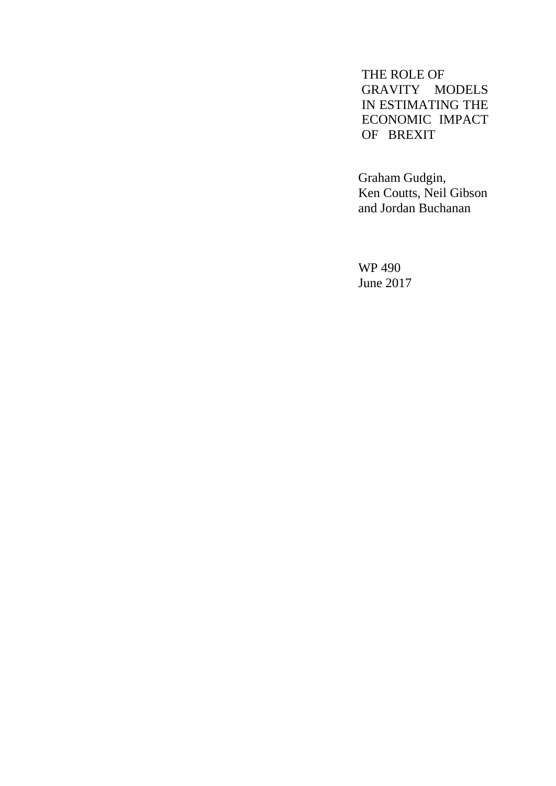THE ROLE OF GRAVITY MODELS IN ESTIMATING THE ECONOMIC IMPACT OF BREXIT

Graham Gudgin, Ken Coutts, Neil Gibson and Jordan Buchanan

WP 490 June 2017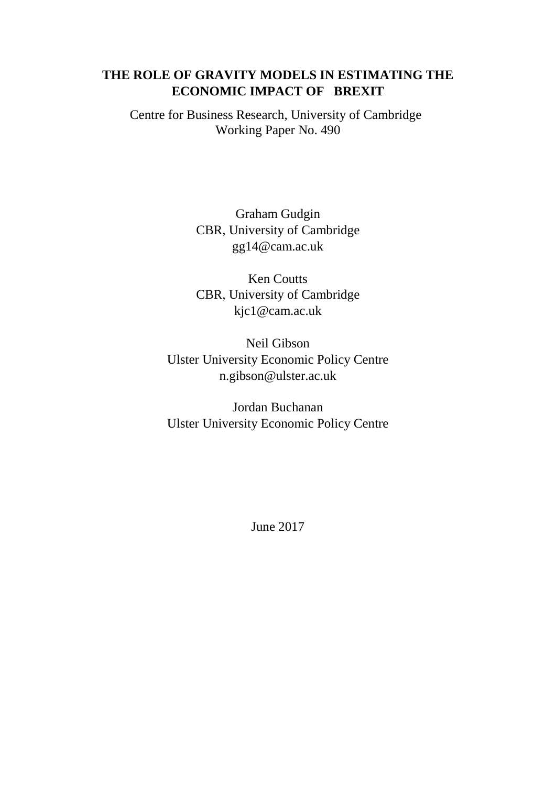### **THE ROLE OF GRAVITY MODELS IN ESTIMATING THE ECONOMIC IMPACT OF BREXIT**

Centre for Business Research, University of Cambridge Working Paper No. 490

> Graham Gudgin CBR, University of Cambridge [gg14@cam.ac.uk](mailto:gg14@cam.ac.uk)

> Ken Coutts CBR, University of Cambridge [kjc1@cam.ac.uk](mailto:kjc1@cam.ac.uk)

Neil Gibson Ulster University Economic Policy Centre [n.gibson@ulster.ac.uk](mailto:n.gibson@ulster.ac.uk)

Jordan Buchanan Ulster University Economic Policy Centre

June 2017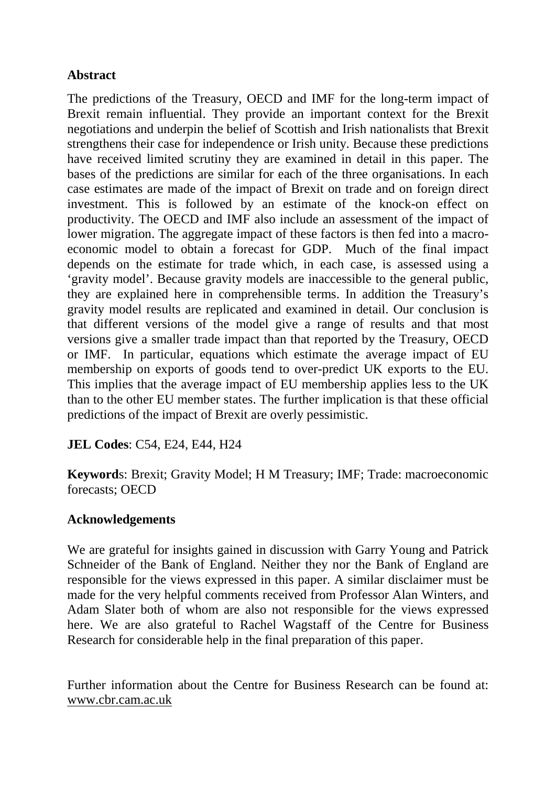## **Abstract**

The predictions of the Treasury, OECD and IMF for the long-term impact of Brexit remain influential. They provide an important context for the Brexit negotiations and underpin the belief of Scottish and Irish nationalists that Brexit strengthens their case for independence or Irish unity. Because these predictions have received limited scrutiny they are examined in detail in this paper. The bases of the predictions are similar for each of the three organisations. In each case estimates are made of the impact of Brexit on trade and on foreign direct investment. This is followed by an estimate of the knock-on effect on productivity. The OECD and IMF also include an assessment of the impact of lower migration. The aggregate impact of these factors is then fed into a macroeconomic model to obtain a forecast for GDP. Much of the final impact depends on the estimate for trade which, in each case, is assessed using a 'gravity model'. Because gravity models are inaccessible to the general public, they are explained here in comprehensible terms. In addition the Treasury's gravity model results are replicated and examined in detail. Our conclusion is that different versions of the model give a range of results and that most versions give a smaller trade impact than that reported by the Treasury, OECD or IMF. In particular, equations which estimate the average impact of EU membership on exports of goods tend to over-predict UK exports to the EU. This implies that the average impact of EU membership applies less to the UK than to the other EU member states. The further implication is that these official predictions of the impact of Brexit are overly pessimistic.

**JEL Codes**: C54, E24, E44, H24

**Keyword**s: Brexit; Gravity Model; H M Treasury; IMF; Trade: macroeconomic forecasts; OECD

# **Acknowledgements**

We are grateful for insights gained in discussion with Garry Young and Patrick Schneider of the Bank of England. Neither they nor the Bank of England are responsible for the views expressed in this paper. A similar disclaimer must be made for the very helpful comments received from Professor Alan Winters, and Adam Slater both of whom are also not responsible for the views expressed here. We are also grateful to Rachel Wagstaff of the Centre for Business Research for considerable help in the final preparation of this paper.

Further information about the Centre for Business Research can be found at: [www.cbr.cam.ac.uk](http://www.cbr.cam.ac.uk/)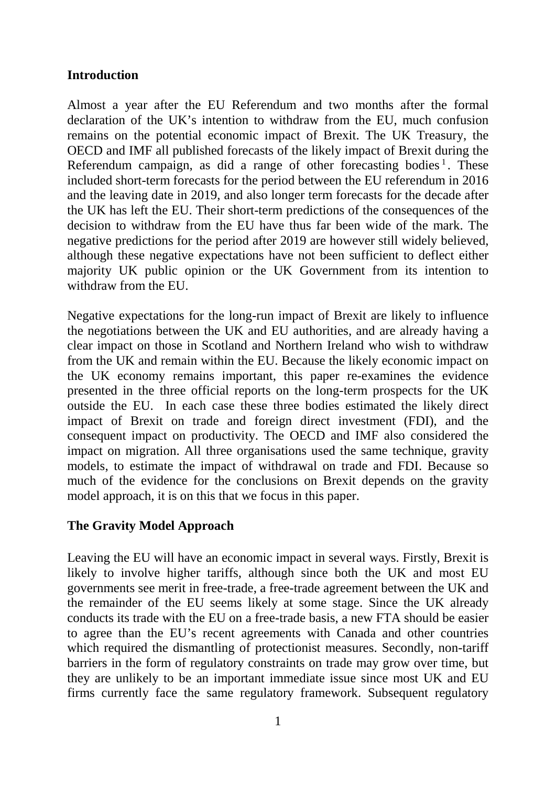### **Introduction**

Almost a year after the EU Referendum and two months after the formal declaration of the UK's intention to withdraw from the EU, much confusion remains on the potential economic impact of Brexit. The UK Treasury, the OECD and IMF all published forecasts of the likely impact of Brexit during the Referendum campaign, as did a range of other forecasting bodies  $\frac{1}{1}$  $\frac{1}{1}$  $\frac{1}{1}$ . These included short-term forecasts for the period between the EU referendum in 2016 and the leaving date in 2019, and also longer term forecasts for the decade after the UK has left the EU. Their short-term predictions of the consequences of the decision to withdraw from the EU have thus far been wide of the mark. The negative predictions for the period after 2019 are however still widely believed, although these negative expectations have not been sufficient to deflect either majority UK public opinion or the UK Government from its intention to withdraw from the EU.

Negative expectations for the long-run impact of Brexit are likely to influence the negotiations between the UK and EU authorities, and are already having a clear impact on those in Scotland and Northern Ireland who wish to withdraw from the UK and remain within the EU. Because the likely economic impact on the UK economy remains important, this paper re-examines the evidence presented in the three official reports on the long-term prospects for the UK outside the EU. In each case these three bodies estimated the likely direct impact of Brexit on trade and foreign direct investment (FDI), and the consequent impact on productivity. The OECD and IMF also considered the impact on migration. All three organisations used the same technique, gravity models, to estimate the impact of withdrawal on trade and FDI. Because so much of the evidence for the conclusions on Brexit depends on the gravity model approach, it is on this that we focus in this paper.

### **The Gravity Model Approach**

Leaving the EU will have an economic impact in several ways. Firstly, Brexit is likely to involve higher tariffs, although since both the UK and most EU governments see merit in free-trade, a free-trade agreement between the UK and the remainder of the EU seems likely at some stage. Since the UK already conducts its trade with the EU on a free-trade basis, a new FTA should be easier to agree than the EU's recent agreements with Canada and other countries which required the dismantling of protectionist measures. Secondly, non-tariff barriers in the form of regulatory constraints on trade may grow over time, but they are unlikely to be an important immediate issue since most UK and EU firms currently face the same regulatory framework. Subsequent regulatory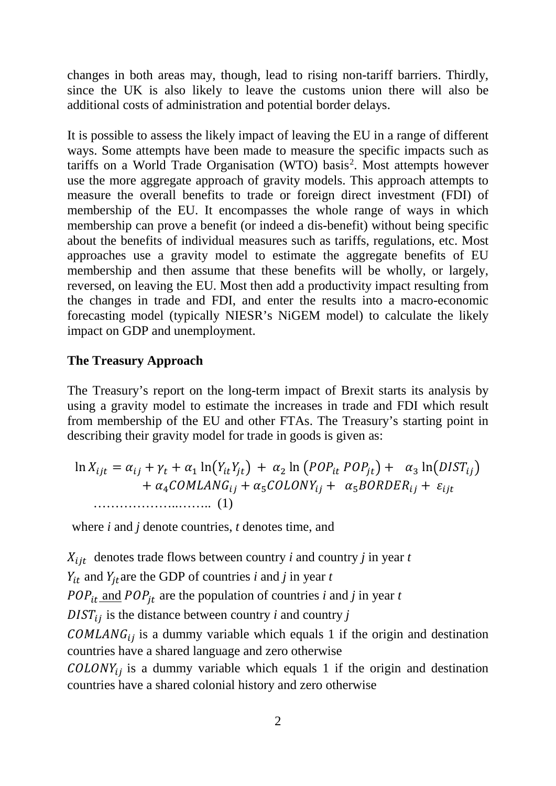changes in both areas may, though, lead to rising non-tariff barriers. Thirdly, since the UK is also likely to leave the customs union there will also be additional costs of administration and potential border delays.

It is possible to assess the likely impact of leaving the EU in a range of different ways. Some attempts have been made to measure the specific impacts such as tariffs on a World Trade Organisation (WTO) basis<sup>[2](#page--1-1)</sup>. Most attempts however use the more aggregate approach of gravity models. This approach attempts to measure the overall benefits to trade or foreign direct investment (FDI) of membership of the EU. It encompasses the whole range of ways in which membership can prove a benefit (or indeed a dis-benefit) without being specific about the benefits of individual measures such as tariffs, regulations, etc. Most approaches use a gravity model to estimate the aggregate benefits of EU membership and then assume that these benefits will be wholly, or largely, reversed, on leaving the EU. Most then add a productivity impact resulting from the changes in trade and FDI, and enter the results into a macro-economic forecasting model (typically NIESR's NiGEM model) to calculate the likely impact on GDP and unemployment.

#### **The Treasury Approach**

The Treasury's report on the long-term impact of Brexit starts its analysis by using a gravity model to estimate the increases in trade and FDI which result from membership of the EU and other FTAs. The Treasury's starting point in describing their gravity model for trade in goods is given as:

$$
\ln X_{ijt} = \alpha_{ij} + \gamma_t + \alpha_1 \ln(Y_{it}Y_{jt}) + \alpha_2 \ln(POP_{it} POP_{jt}) + \alpha_3 \ln(DIST_{ij})
$$
  
+  $\alpha_4 COMLANG_{ij} + \alpha_5 COLONY_{ij} + \alpha_5 BORDER_{ij} + \varepsilon_{ijt}$   
................. (1)

where *i* and *j* denote countries, *t* denotes time, and

 $X_{iit}$  denotes trade flows between country *i* and country *j* in year *t* 

 $Y_{it}$  and  $Y_{it}$  are the GDP of countries *i* and *j* in year *t* 

 $POP_{it}$  and  $POP_{it}$  are the population of countries *i* and *j* in year *t* 

 $DIST_{ij}$  is the distance between country *i* and country *j* 

 $COMLANG_{ij}$  is a dummy variable which equals 1 if the origin and destination countries have a shared language and zero otherwise

 $\text{COLONY}_{ij}$  is a dummy variable which equals 1 if the origin and destination countries have a shared colonial history and zero otherwise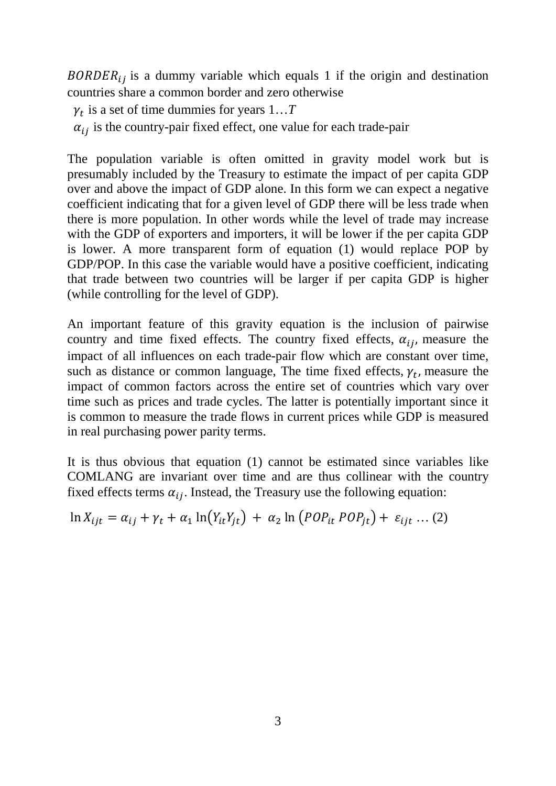$BORDER_{ij}$  is a dummy variable which equals 1 if the origin and destination countries share a common border and zero otherwise

 $\gamma_t$  is a set of time dummies for years  $1...T$ 

 $\alpha_{ij}$  is the country-pair fixed effect, one value for each trade-pair

The population variable is often omitted in gravity model work but is presumably included by the Treasury to estimate the impact of per capita GDP over and above the impact of GDP alone. In this form we can expect a negative coefficient indicating that for a given level of GDP there will be less trade when there is more population. In other words while the level of trade may increase with the GDP of exporters and importers, it will be lower if the per capita GDP is lower. A more transparent form of equation (1) would replace POP by GDP/POP. In this case the variable would have a positive coefficient, indicating that trade between two countries will be larger if per capita GDP is higher (while controlling for the level of GDP).

An important feature of this gravity equation is the inclusion of pairwise country and time fixed effects. The country fixed effects,  $\alpha_{ij}$ , measure the impact of all influences on each trade-pair flow which are constant over time, such as distance or common language, The time fixed effects,  $\gamma_t$ , measure the impact of common factors across the entire set of countries which vary over time such as prices and trade cycles. The latter is potentially important since it is common to measure the trade flows in current prices while GDP is measured in real purchasing power parity terms.

It is thus obvious that equation (1) cannot be estimated since variables like COMLANG are invariant over time and are thus collinear with the country fixed effects terms  $\alpha_{ij}$ . Instead, the Treasury use the following equation:

$$
\ln X_{ijt} = \alpha_{ij} + \gamma_t + \alpha_1 \ln(Y_{it}Y_{jt}) + \alpha_2 \ln(POP_{it} POP_{jt}) + \varepsilon_{ijt} \dots (2)
$$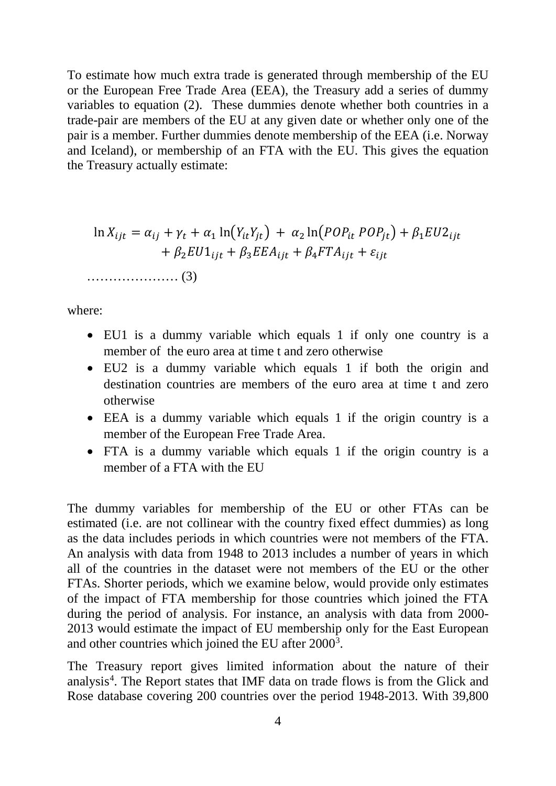To estimate how much extra trade is generated through membership of the EU or the European Free Trade Area (EEA), the Treasury add a series of dummy variables to equation (2). These dummies denote whether both countries in a trade-pair are members of the EU at any given date or whether only one of the pair is a member. Further dummies denote membership of the EEA (i.e. Norway and Iceland), or membership of an FTA with the EU. This gives the equation the Treasury actually estimate:

ln = + + 1 ln� � + 2 ln� � + 1 2 + 2 1 + 3 + 4 + ………………… (3)

where:

- EU1 is a dummy variable which equals 1 if only one country is a member of the euro area at time t and zero otherwise
- EU2 is a dummy variable which equals 1 if both the origin and destination countries are members of the euro area at time t and zero otherwise
- EEA is a dummy variable which equals 1 if the origin country is a member of the European Free Trade Area.
- FTA is a dummy variable which equals 1 if the origin country is a member of a FTA with the EU

The dummy variables for membership of the EU or other FTAs can be estimated (i.e. are not collinear with the country fixed effect dummies) as long as the data includes periods in which countries were not members of the FTA. An analysis with data from 1948 to 2013 includes a number of years in which all of the countries in the dataset were not members of the EU or the other FTAs. Shorter periods, which we examine below, would provide only estimates of the impact of FTA membership for those countries which joined the FTA during the period of analysis. For instance, an analysis with data from 2000- 2013 would estimate the impact of EU membership only for the East European and other countries which joined the EU after 2000<sup>[3](#page--1-2)</sup>.

The Treasury report gives limited information about the nature of their analysis<sup>[4](#page--1-3)</sup>. The Report states that IMF data on trade flows is from the Glick and Rose database covering 200 countries over the period 1948-2013. With 39,800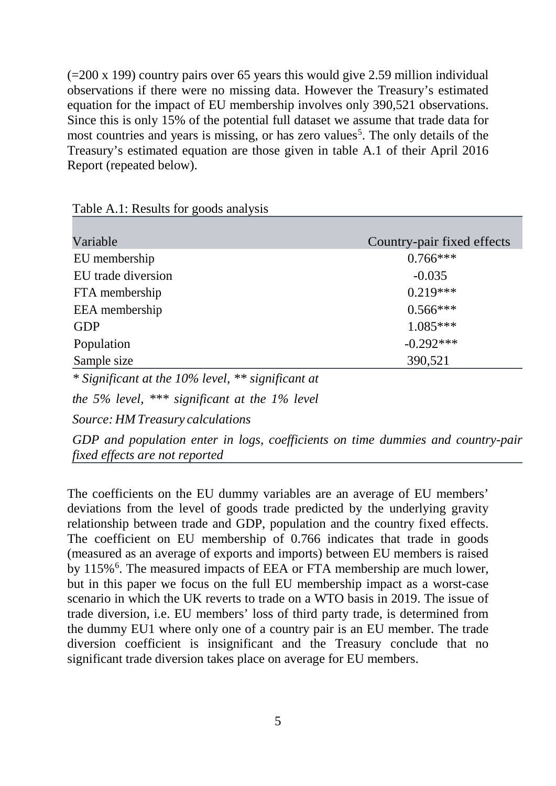(=200 x 199) country pairs over 65 years this would give 2.59 million individual observations if there were no missing data. However the Treasury's estimated equation for the impact of EU membership involves only 390,521 observations. Since this is only 15% of the potential full dataset we assume that trade data for most countries and years is missing, or has zero values<sup>[5](#page--1-4)</sup>. The only details of the Treasury's estimated equation are those given in table A.1 of their April 2016 Report (repeated below).

| Variable           | Country-pair fixed effects |
|--------------------|----------------------------|
| EU membership      | $0.766***$                 |
| EU trade diversion | $-0.035$                   |
| FTA membership     | $0.219***$                 |
| EEA membership     | $0.566***$                 |
| <b>GDP</b>         | $1.085***$                 |
| Population         | $-0.292***$                |
| Sample size        | 390,521                    |

Table A.1: Results for goods analysis

*\* Significant at the 10% level, \*\* significant at*

*the 5% level, \*\*\* significant at the 1% level* 

*Source: HM Treasury calculations*

*GDP and population enter in logs, coefficients on time dummies and country-pair fixed effects are not reported*

The coefficients on the EU dummy variables are an average of EU members' deviations from the level of goods trade predicted by the underlying gravity relationship between trade and GDP, population and the country fixed effects. The coefficient on EU membership of 0.766 indicates that trade in goods (measured as an average of exports and imports) between EU members is raised by 115%<sup>[6](#page--1-5)</sup>. The measured impacts of EEA or FTA membership are much lower, but in this paper we focus on the full EU membership impact as a worst-case scenario in which the UK reverts to trade on a WTO basis in 2019. The issue of trade diversion, i.e. EU members' loss of third party trade, is determined from the dummy EU1 where only one of a country pair is an EU member. The trade diversion coefficient is insignificant and the Treasury conclude that no significant trade diversion takes place on average for EU members.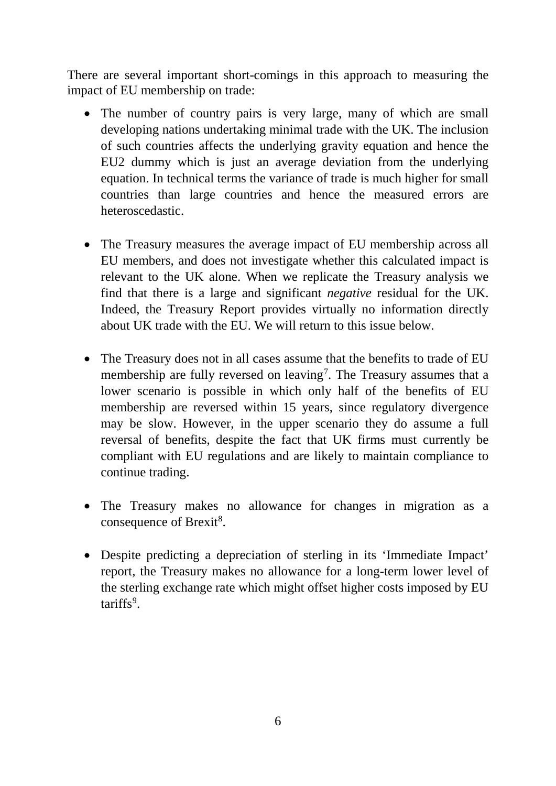There are several important short-comings in this approach to measuring the impact of EU membership on trade:

- The number of country pairs is very large, many of which are small developing nations undertaking minimal trade with the UK. The inclusion of such countries affects the underlying gravity equation and hence the EU2 dummy which is just an average deviation from the underlying equation. In technical terms the variance of trade is much higher for small countries than large countries and hence the measured errors are heteroscedastic.
- The Treasury measures the average impact of EU membership across all EU members, and does not investigate whether this calculated impact is relevant to the UK alone. When we replicate the Treasury analysis we find that there is a large and significant *negative* residual for the UK. Indeed, the Treasury Report provides virtually no information directly about UK trade with the EU. We will return to this issue below.
- The Treasury does not in all cases assume that the benefits to trade of EU membership are fully reversed on leaving<sup>[7](#page--1-6)</sup>. The Treasury assumes that a lower scenario is possible in which only half of the benefits of EU membership are reversed within 15 years, since regulatory divergence may be slow. However, in the upper scenario they do assume a full reversal of benefits, despite the fact that UK firms must currently be compliant with EU regulations and are likely to maintain compliance to continue trading.
- The Treasury makes no allowance for changes in migration as a consequence of Brexit<sup>[8](#page--1-7)</sup>.
- Despite predicting a depreciation of sterling in its 'Immediate Impact' report, the Treasury makes no allowance for a long-term lower level of the sterling exchange rate which might offset higher costs imposed by EU tariffs<sup>[9](#page--1-8)</sup>.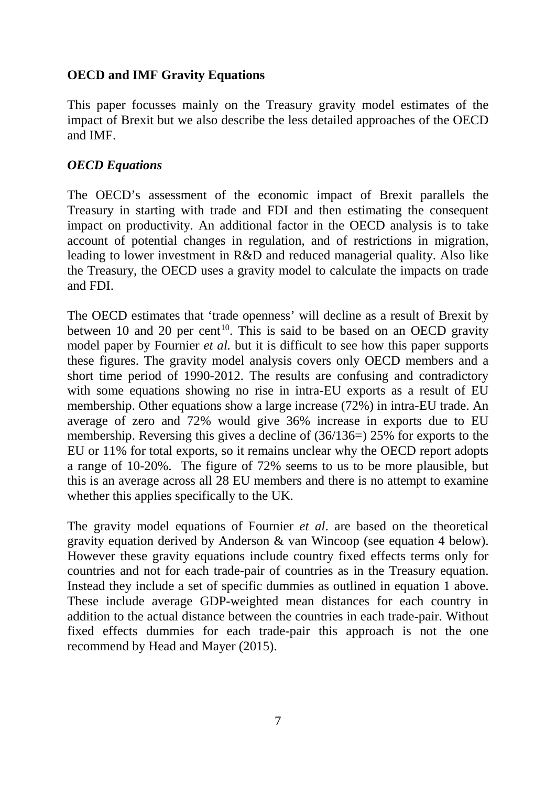### **OECD and IMF Gravity Equations**

This paper focusses mainly on the Treasury gravity model estimates of the impact of Brexit but we also describe the less detailed approaches of the OECD and IMF.

### *OECD Equations*

The OECD's assessment of the economic impact of Brexit parallels the Treasury in starting with trade and FDI and then estimating the consequent impact on productivity. An additional factor in the OECD analysis is to take account of potential changes in regulation, and of restrictions in migration, leading to lower investment in R&D and reduced managerial quality. Also like the Treasury, the OECD uses a gravity model to calculate the impacts on trade and FDI.

The OECD estimates that 'trade openness' will decline as a result of Brexit by between 10 and 20 per cent<sup>10</sup>. This is said to be based on an OECD gravity model paper by Fournier *et al.* but it is difficult to see how this paper supports these figures. The gravity model analysis covers only OECD members and a short time period of 1990-2012. The results are confusing and contradictory with some equations showing no rise in intra-EU exports as a result of EU membership. Other equations show a large increase (72%) in intra-EU trade. An average of zero and 72% would give 36% increase in exports due to EU membership. Reversing this gives a decline of (36/136=) 25% for exports to the EU or 11% for total exports, so it remains unclear why the OECD report adopts a range of 10-20%. The figure of 72% seems to us to be more plausible, but this is an average across all 28 EU members and there is no attempt to examine whether this applies specifically to the UK.

The gravity model equations of Fournier *et al*. are based on the theoretical gravity equation derived by Anderson & van Wincoop (see equation 4 below). However these gravity equations include country fixed effects terms only for countries and not for each trade-pair of countries as in the Treasury equation. Instead they include a set of specific dummies as outlined in equation 1 above. These include average GDP-weighted mean distances for each country in addition to the actual distance between the countries in each trade-pair. Without fixed effects dummies for each trade-pair this approach is not the one recommend by Head and Mayer (2015).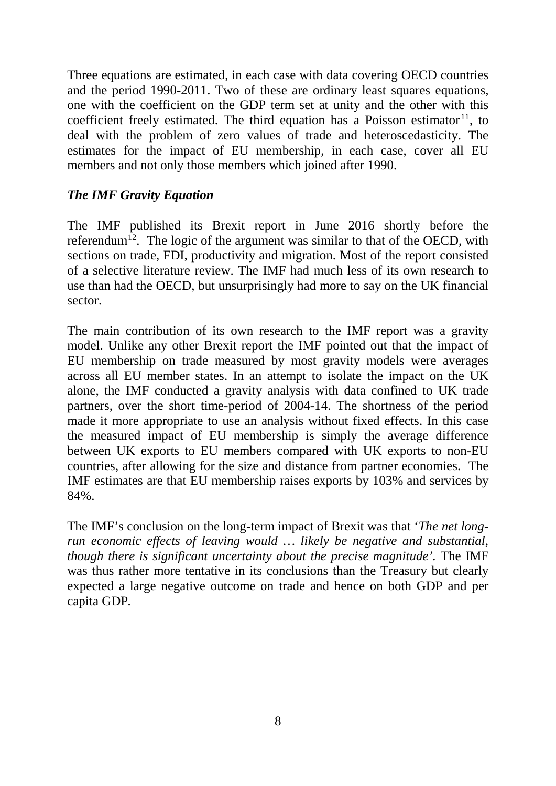Three equations are estimated, in each case with data covering OECD countries and the period 1990-2011. Two of these are ordinary least squares equations, one with the coefficient on the GDP term set at unity and the other with this coefficient freely estimated. The third equation has a Poisson estimator  $11$ , to deal with the problem of zero values of trade and heteroscedasticity. The estimates for the impact of EU membership, in each case, cover all EU members and not only those members which joined after 1990.

### *The IMF Gravity Equation*

The IMF published its Brexit report in June 2016 shortly before the referendum<sup>[12](#page--1-11)</sup>. The logic of the argument was similar to that of the OECD, with sections on trade, FDI, productivity and migration. Most of the report consisted of a selective literature review. The IMF had much less of its own research to use than had the OECD, but unsurprisingly had more to say on the UK financial sector.

The main contribution of its own research to the IMF report was a gravity model. Unlike any other Brexit report the IMF pointed out that the impact of EU membership on trade measured by most gravity models were averages across all EU member states. In an attempt to isolate the impact on the UK alone, the IMF conducted a gravity analysis with data confined to UK trade partners, over the short time-period of 2004-14. The shortness of the period made it more appropriate to use an analysis without fixed effects. In this case the measured impact of EU membership is simply the average difference between UK exports to EU members compared with UK exports to non-EU countries, after allowing for the size and distance from partner economies. The IMF estimates are that EU membership raises exports by 103% and services by 84%.

The IMF's conclusion on the long-term impact of Brexit was that '*The net longrun economic effects of leaving would … likely be negative and substantial, though there is significant uncertainty about the precise magnitude'.* The IMF was thus rather more tentative in its conclusions than the Treasury but clearly expected a large negative outcome on trade and hence on both GDP and per capita GDP*.*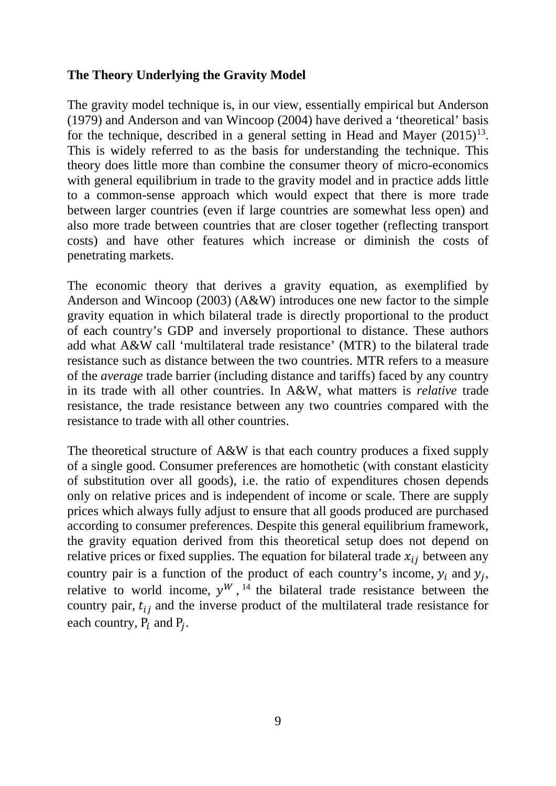#### **The Theory Underlying the Gravity Model**

The gravity model technique is, in our view, essentially empirical but Anderson (1979) and Anderson and van Wincoop (2004) have derived a 'theoretical' basis for the technique, described in a general setting in Head and Mayer  $(2015)^{13}$ . This is widely referred to as the basis for understanding the technique. This theory does little more than combine the consumer theory of micro-economics with general equilibrium in trade to the gravity model and in practice adds little to a common-sense approach which would expect that there is more trade between larger countries (even if large countries are somewhat less open) and also more trade between countries that are closer together (reflecting transport costs) and have other features which increase or diminish the costs of penetrating markets.

The economic theory that derives a gravity equation, as exemplified by Anderson and Wincoop (2003) (A&W) introduces one new factor to the simple gravity equation in which bilateral trade is directly proportional to the product of each country's GDP and inversely proportional to distance. These authors add what A&W call 'multilateral trade resistance' (MTR) to the bilateral trade resistance such as distance between the two countries. MTR refers to a measure of the *average* trade barrier (including distance and tariffs) faced by any country in its trade with all other countries. In A&W, what matters is *relative* trade resistance, the trade resistance between any two countries compared with the resistance to trade with all other countries.

The theoretical structure of A&W is that each country produces a fixed supply of a single good. Consumer preferences are homothetic (with constant elasticity of substitution over all goods), i.e. the ratio of expenditures chosen depends only on relative prices and is independent of income or scale. There are supply prices which always fully adjust to ensure that all goods produced are purchased according to consumer preferences. Despite this general equilibrium framework, the gravity equation derived from this theoretical setup does not depend on relative prices or fixed supplies. The equation for bilateral trade  $x_{ij}$  between any country pair is a function of the product of each country's income,  $y_i$  and  $y_j$ , relative to world income,  $y^{W}$ , <sup>[14](#page--1-13)</sup> the bilateral trade resistance between the country pair,  $t_{ij}$  and the inverse product of the multilateral trade resistance for each country,  $P_i$  and  $P_j$ .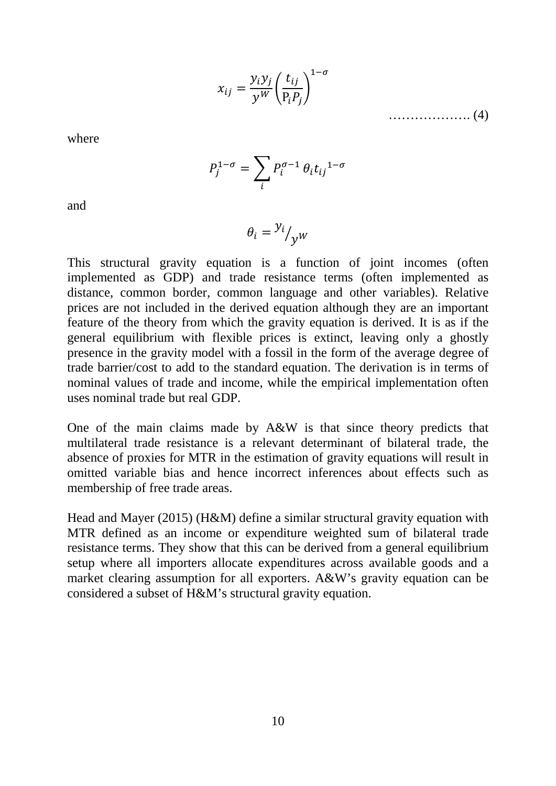$$
x_{ij} = \frac{y_i y_j}{y^W} \left(\frac{t_{ij}}{P_i P_j}\right)^{1-\sigma}
$$
\n
$$
\dots \dots \dots \dots \dots \dots \dots \dots \dots \dots \tag{4}
$$

where

$$
P_j^{1-\sigma} = \sum_i P_i^{\sigma-1} \theta_i t_{ij}^{1-\sigma}
$$

and

$$
\theta_i = \frac{y_i}{y^W}
$$

This structural gravity equation is a function of joint incomes (often implemented as GDP) and trade resistance terms (often implemented as distance, common border, common language and other variables). Relative prices are not included in the derived equation although they are an important feature of the theory from which the gravity equation is derived. It is as if the general equilibrium with flexible prices is extinct, leaving only a ghostly presence in the gravity model with a fossil in the form of the average degree of trade barrier/cost to add to the standard equation. The derivation is in terms of nominal values of trade and income, while the empirical implementation often uses nominal trade but real GDP.

One of the main claims made by A&W is that since theory predicts that multilateral trade resistance is a relevant determinant of bilateral trade, the absence of proxies for MTR in the estimation of gravity equations will result in omitted variable bias and hence incorrect inferences about effects such as membership of free trade areas.

Head and Mayer (2015) (H&M) define a similar structural gravity equation with MTR defined as an income or expenditure weighted sum of bilateral trade resistance terms. They show that this can be derived from a general equilibrium setup where all importers allocate expenditures across available goods and a market clearing assumption for all exporters. A&W's gravity equation can be considered a subset of H&M's structural gravity equation.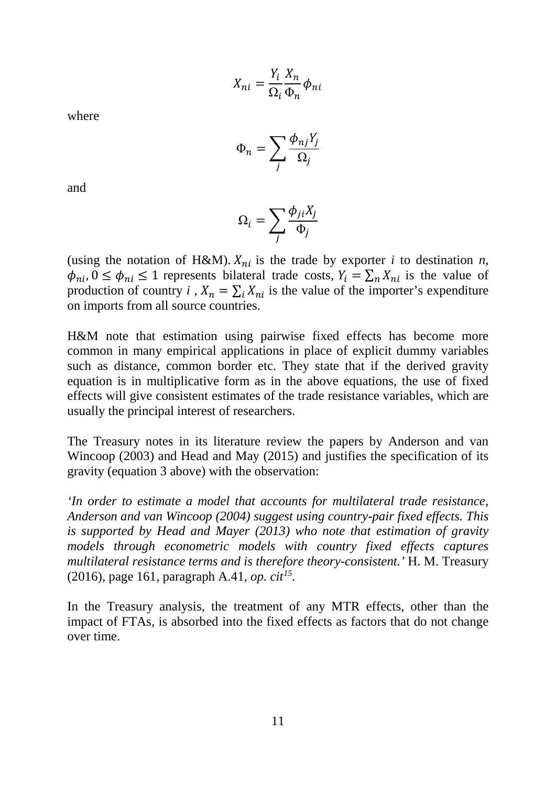$$
X_{ni} = \frac{Y_i}{\Omega_i} \frac{X_n}{\Phi_n} \phi_{ni}
$$

where

$$
\Phi_n = \sum_j \frac{\phi_{nj} Y_j}{\Omega_j}
$$

and

$$
\Omega_i = \sum_j \frac{\phi_{ji} X_j}{\Phi_j}
$$

(using the notation of H&M).  $X_{ni}$  is the trade by exporter *i* to destination *n*,  $\phi_{ni}$ ,  $0 \le \phi_{ni} \le 1$  represents bilateral trade costs,  $Y_i = \sum_n X_{ni}$  is the value of production of country *i*,  $X_n = \sum_i X_{ni}$  is the value of the importer's expenditure on imports from all source countries.

H&M note that estimation using pairwise fixed effects has become more common in many empirical applications in place of explicit dummy variables such as distance, common border etc. They state that if the derived gravity equation is in multiplicative form as in the above equations, the use of fixed effects will give consistent estimates of the trade resistance variables, which are usually the principal interest of researchers.

The Treasury notes in its literature review the papers by Anderson and van Wincoop (2003) and Head and May (2015) and justifies the specification of its gravity (equation 3 above) with the observation:

*'In order to estimate a model that accounts for multilateral trade resistance, Anderson and van Wincoop (2004) suggest using country-pair fixed effects. This is supported by Head and Mayer (2013) who note that estimation of gravity models through econometric models with country fixed effects captures multilateral resistance terms and is therefore theory-consistent.'* H. M. Treasury (2016), page 161, paragraph A.41, *op. cit[15.](#page--1-14)*

In the Treasury analysis, the treatment of any MTR effects, other than the impact of FTAs, is absorbed into the fixed effects as factors that do not change over time.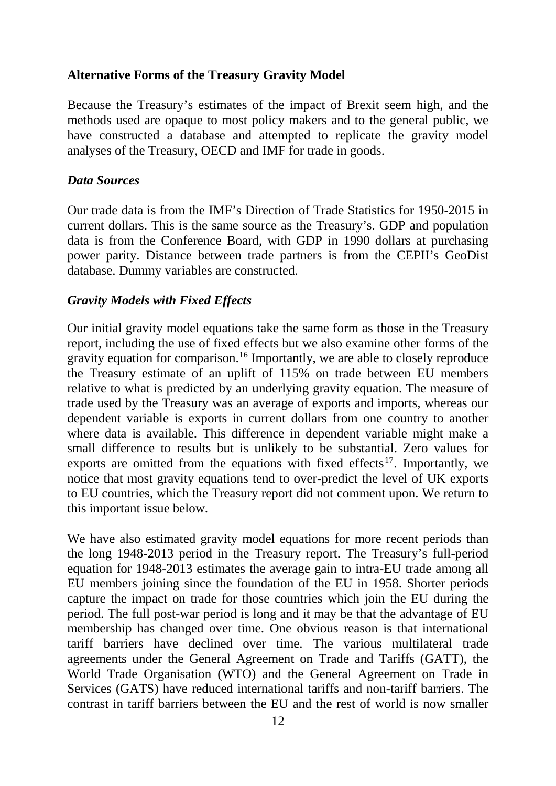### **Alternative Forms of the Treasury Gravity Model**

Because the Treasury's estimates of the impact of Brexit seem high, and the methods used are opaque to most policy makers and to the general public, we have constructed a database and attempted to replicate the gravity model analyses of the Treasury, OECD and IMF for trade in goods.

#### *Data Sources*

Our trade data is from the IMF's Direction of Trade Statistics for 1950-2015 in current dollars. This is the same source as the Treasury's. GDP and population data is from the Conference Board, with GDP in 1990 dollars at purchasing power parity. Distance between trade partners is from the CEPII's GeoDist database. Dummy variables are constructed.

#### *Gravity Models with Fixed Effects*

Our initial gravity model equations take the same form as those in the Treasury report, including the use of fixed effects but we also examine other forms of the gravity equation for comparison.[16](#page--1-15) Importantly, we are able to closely reproduce the Treasury estimate of an uplift of 115% on trade between EU members relative to what is predicted by an underlying gravity equation. The measure of trade used by the Treasury was an average of exports and imports, whereas our dependent variable is exports in current dollars from one country to another where data is available. This difference in dependent variable might make a small difference to results but is unlikely to be substantial. Zero values for exports are omitted from the equations with fixed effects<sup>[17](#page--1-16)</sup>. Importantly, we notice that most gravity equations tend to over-predict the level of UK exports to EU countries, which the Treasury report did not comment upon. We return to this important issue below.

We have also estimated gravity model equations for more recent periods than the long 1948-2013 period in the Treasury report. The Treasury's full-period equation for 1948-2013 estimates the average gain to intra-EU trade among all EU members joining since the foundation of the EU in 1958. Shorter periods capture the impact on trade for those countries which join the EU during the period. The full post-war period is long and it may be that the advantage of EU membership has changed over time. One obvious reason is that international tariff barriers have declined over time. The various multilateral trade agreements under the General Agreement on Trade and Tariffs (GATT), the World Trade Organisation (WTO) and the General Agreement on Trade in Services (GATS) have reduced international tariffs and non-tariff barriers. The contrast in tariff barriers between the EU and the rest of world is now smaller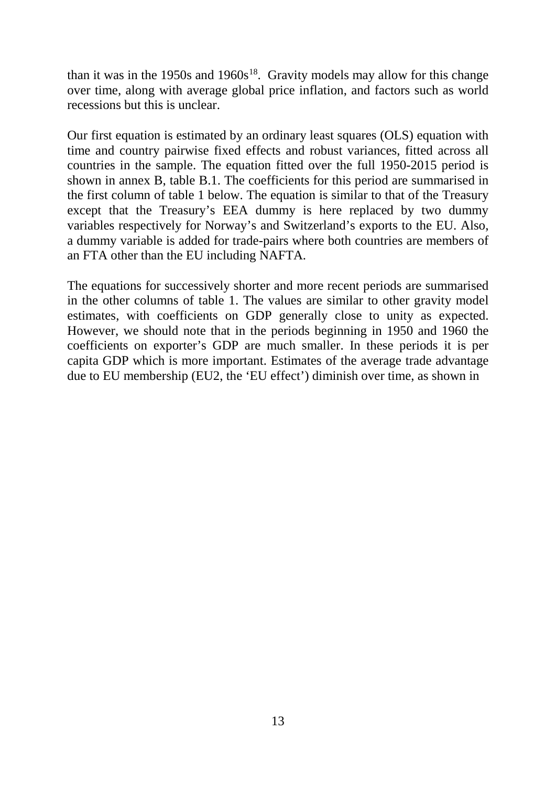than it was in the 1950s and 1960s<sup>[18](#page--1-17)</sup>. Gravity models may allow for this change over time, along with average global price inflation, and factors such as world recessions but this is unclear.

Our first equation is estimated by an ordinary least squares (OLS) equation with time and country pairwise fixed effects and robust variances, fitted across all countries in the sample. The equation fitted over the full 1950-2015 period is shown in annex B, table B.1. The coefficients for this period are summarised in the first column of table 1 below. The equation is similar to that of the Treasury except that the Treasury's EEA dummy is here replaced by two dummy variables respectively for Norway's and Switzerland's exports to the EU. Also, a dummy variable is added for trade-pairs where both countries are members of an FTA other than the EU including NAFTA.

The equations for successively shorter and more recent periods are summarised in the other columns of table 1. The values are similar to other gravity model estimates, with coefficients on GDP generally close to unity as expected. However, we should note that in the periods beginning in 1950 and 1960 the coefficients on exporter's GDP are much smaller. In these periods it is per capita GDP which is more important. Estimates of the average trade advantage due to EU membership (EU2, the 'EU effect') diminish over time, as shown in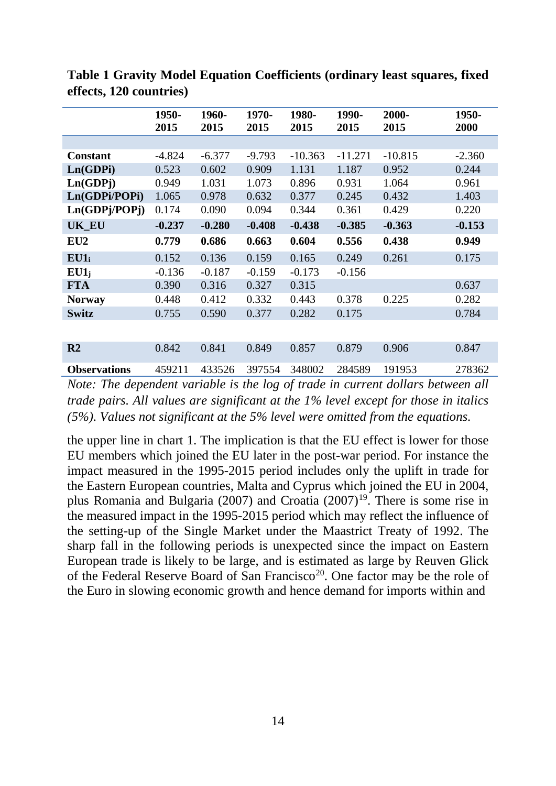|                     | 1950-<br>2015 | 1960-<br>2015 | 1970-<br>2015 | 1980-<br>2015 | 1990-<br>2015 | 2000-<br>2015 | 1950-<br>2000 |
|---------------------|---------------|---------------|---------------|---------------|---------------|---------------|---------------|
|                     |               |               |               |               |               |               |               |
| <b>Constant</b>     | $-4.824$      | $-6.377$      | $-9.793$      | $-10.363$     | $-11.271$     | $-10.815$     | $-2.360$      |
| Ln(GDPi)            | 0.523         | 0.602         | 0.909         | 1.131         | 1.187         | 0.952         | 0.244         |
| Ln(GDPj)            | 0.949         | 1.031         | 1.073         | 0.896         | 0.931         | 1.064         | 0.961         |
| Ln(GDPi/POPi)       | 1.065         | 0.978         | 0.632         | 0.377         | 0.245         | 0.432         | 1.403         |
| Ln(GDPj/POPj)       | 0.174         | 0.090         | 0.094         | 0.344         | 0.361         | 0.429         | 0.220         |
| <b>UK_EU</b>        | $-0.237$      | $-0.280$      | $-0.408$      | $-0.438$      | $-0.385$      | $-0.363$      | $-0.153$      |
| EU <sub>2</sub>     | 0.779         | 0.686         | 0.663         | 0.604         | 0.556         | 0.438         | 0.949         |
| $EU1_i$             | 0.152         | 0.136         | 0.159         | 0.165         | 0.249         | 0.261         | 0.175         |
| $EU1_i$             | $-0.136$      | $-0.187$      | $-0.159$      | $-0.173$      | $-0.156$      |               |               |
| <b>FTA</b>          | 0.390         | 0.316         | 0.327         | 0.315         |               |               | 0.637         |
| <b>Norway</b>       | 0.448         | 0.412         | 0.332         | 0.443         | 0.378         | 0.225         | 0.282         |
| <b>Switz</b>        | 0.755         | 0.590         | 0.377         | 0.282         | 0.175         |               | 0.784         |
|                     |               |               |               |               |               |               |               |
| R <sub>2</sub>      | 0.842         | 0.841         | 0.849         | 0.857         | 0.879         | 0.906         | 0.847         |
| <b>Observations</b> | 459211        | 433526        | 397554        | 348002        | 284589        | 191953        | 278362        |

**Table 1 Gravity Model Equation Coefficients (ordinary least squares, fixed effects, 120 countries)**

*Note: The dependent variable is the log of trade in current dollars between all trade pairs. All values are significant at the 1% level except for those in italics (5%). Values not significant at the 5% level were omitted from the equations.*

the upper line in chart 1. The implication is that the EU effect is lower for those EU members which joined the EU later in the post-war period. For instance the impact measured in the 1995-2015 period includes only the uplift in trade for the Eastern European countries, Malta and Cyprus which joined the EU in 2004, plus Romania and Bulgaria (2007) and Croatia (2007)[19](#page--1-18). There is some rise in the measured impact in the 1995-2015 period which may reflect the influence of the setting-up of the Single Market under the Maastrict Treaty of 1992. The sharp fall in the following periods is unexpected since the impact on Eastern European trade is likely to be large, and is estimated as large by Reuven Glick of the Federal Reserve Board of San Francisco<sup>[20](#page--1-19)</sup>. One factor may be the role of the Euro in slowing economic growth and hence demand for imports within and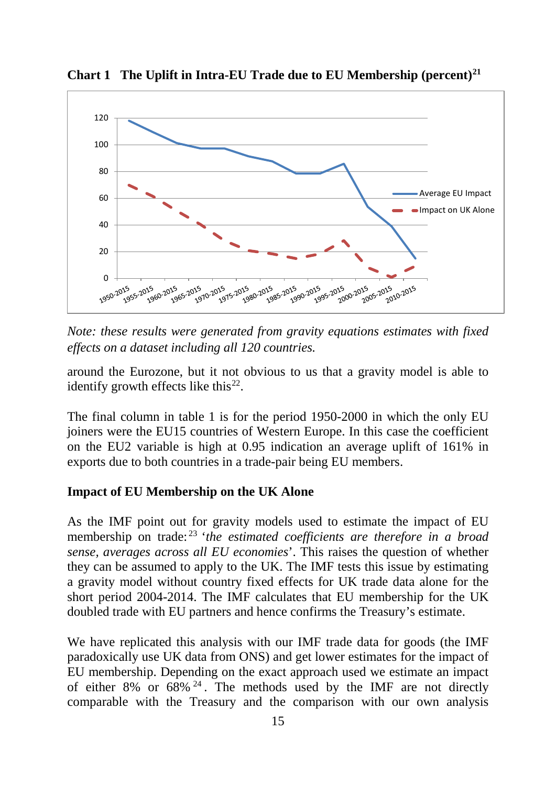

**Chart 1 The Uplift in Intra-EU Trade due to EU Membership (percent)[21](#page--1-20)**

*Note: these results were generated from gravity equations estimates with fixed effects on a dataset including all 120 countries.*

around the Eurozone, but it not obvious to us that a gravity model is able to identify growth effects like this<sup>[22](#page--1-21)</sup>.

The final column in table 1 is for the period 1950-2000 in which the only EU joiners were the EU15 countries of Western Europe. In this case the coefficient on the EU2 variable is high at 0.95 indication an average uplift of 161% in exports due to both countries in a trade-pair being EU members.

#### **Impact of EU Membership on the UK Alone**

As the IMF point out for gravity models used to estimate the impact of EU membership on trade: [23](#page--1-22) '*the estimated coefficients are therefore in a broad sense, averages across all EU economies*'. This raises the question of whether they can be assumed to apply to the UK. The IMF tests this issue by estimating a gravity model without country fixed effects for UK trade data alone for the short period 2004-2014. The IMF calculates that EU membership for the UK doubled trade with EU partners and hence confirms the Treasury's estimate.

We have replicated this analysis with our IMF trade data for goods (the IMF paradoxically use UK data from ONS) and get lower estimates for the impact of EU membership. Depending on the exact approach used we estimate an impact of either  $8\%$  or  $68\%$  <sup>[24](#page--1-23)</sup>. The methods used by the IMF are not directly comparable with the Treasury and the comparison with our own analysis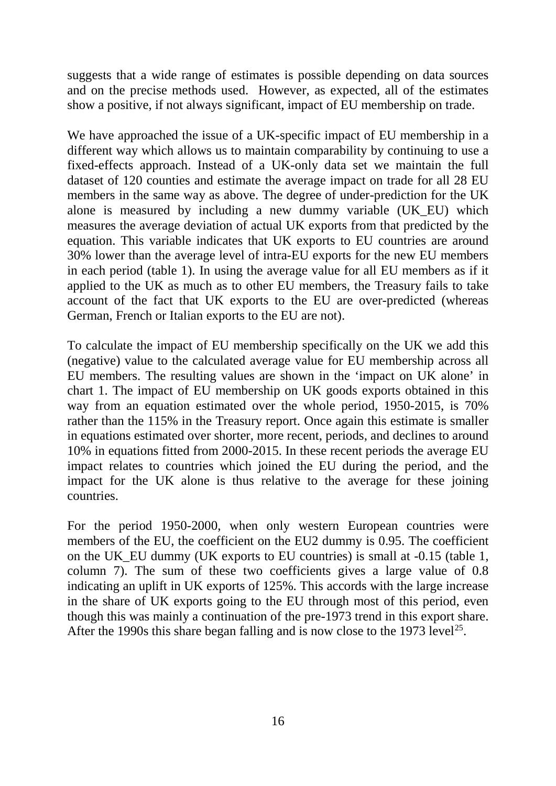suggests that a wide range of estimates is possible depending on data sources and on the precise methods used. However, as expected, all of the estimates show a positive, if not always significant, impact of EU membership on trade.

We have approached the issue of a UK-specific impact of EU membership in a different way which allows us to maintain comparability by continuing to use a fixed-effects approach. Instead of a UK-only data set we maintain the full dataset of 120 counties and estimate the average impact on trade for all 28 EU members in the same way as above. The degree of under-prediction for the UK alone is measured by including a new dummy variable (UK\_EU) which measures the average deviation of actual UK exports from that predicted by the equation. This variable indicates that UK exports to EU countries are around 30% lower than the average level of intra-EU exports for the new EU members in each period (table 1). In using the average value for all EU members as if it applied to the UK as much as to other EU members, the Treasury fails to take account of the fact that UK exports to the EU are over-predicted (whereas German, French or Italian exports to the EU are not).

To calculate the impact of EU membership specifically on the UK we add this (negative) value to the calculated average value for EU membership across all EU members. The resulting values are shown in the 'impact on UK alone' in chart 1. The impact of EU membership on UK goods exports obtained in this way from an equation estimated over the whole period, 1950-2015, is 70% rather than the 115% in the Treasury report. Once again this estimate is smaller in equations estimated over shorter, more recent, periods, and declines to around 10% in equations fitted from 2000-2015. In these recent periods the average EU impact relates to countries which joined the EU during the period, and the impact for the UK alone is thus relative to the average for these joining countries.

For the period 1950-2000, when only western European countries were members of the EU, the coefficient on the EU2 dummy is 0.95. The coefficient on the UK\_EU dummy (UK exports to EU countries) is small at -0.15 (table 1, column 7). The sum of these two coefficients gives a large value of 0.8 indicating an uplift in UK exports of 125%. This accords with the large increase in the share of UK exports going to the EU through most of this period, even though this was mainly a continuation of the pre-1973 trend in this export share. After the 1990s this share began falling and is now close to the 1973 level<sup>[25](#page--1-24)</sup>.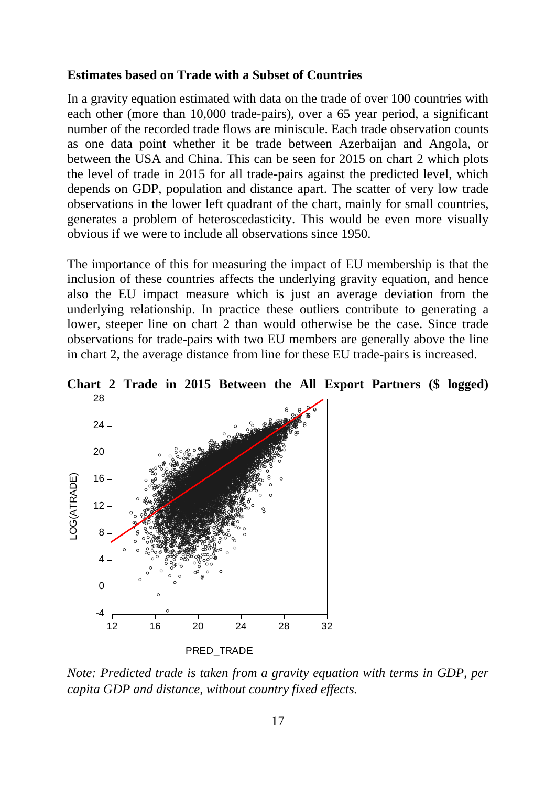#### **Estimates based on Trade with a Subset of Countries**

In a gravity equation estimated with data on the trade of over 100 countries with each other (more than 10,000 trade-pairs), over a 65 year period, a significant number of the recorded trade flows are miniscule. Each trade observation counts as one data point whether it be trade between Azerbaijan and Angola, or between the USA and China. This can be seen for 2015 on chart 2 which plots the level of trade in 2015 for all trade-pairs against the predicted level, which depends on GDP, population and distance apart. The scatter of very low trade observations in the lower left quadrant of the chart, mainly for small countries, generates a problem of heteroscedasticity. This would be even more visually obvious if we were to include all observations since 1950.

The importance of this for measuring the impact of EU membership is that the inclusion of these countries affects the underlying gravity equation, and hence also the EU impact measure which is just an average deviation from the underlying relationship. In practice these outliers contribute to generating a lower, steeper line on chart 2 than would otherwise be the case. Since trade observations for trade-pairs with two EU members are generally above the line in chart 2, the average distance from line for these EU trade-pairs is increased.



**Chart 2 Trade in 2015 Between the All Export Partners (\$ logged)**

*Note: Predicted trade is taken from a gravity equation with terms in GDP, per capita GDP and distance, without country fixed effects.*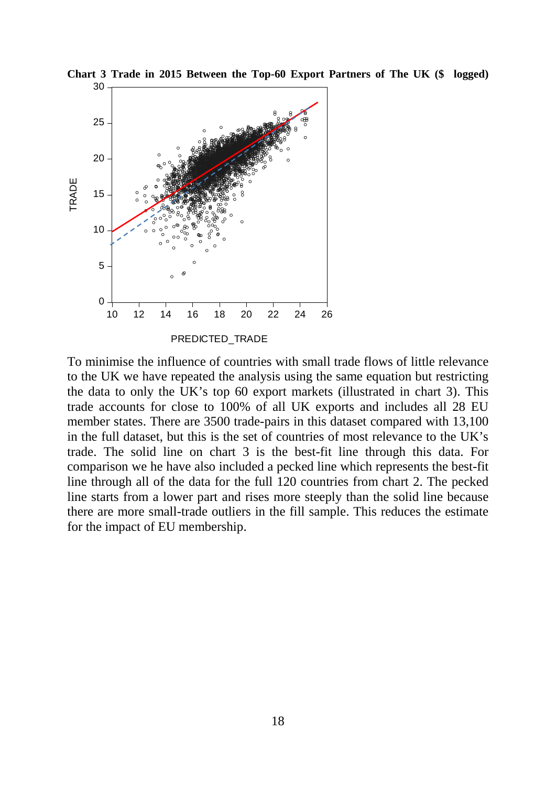

**Chart 3 Trade in 2015 Between the Top-60 Export Partners of The UK (\$ logged)**

To minimise the influence of countries with small trade flows of little relevance to the UK we have repeated the analysis using the same equation but restricting the data to only the UK's top 60 export markets (illustrated in chart 3). This trade accounts for close to 100% of all UK exports and includes all 28 EU member states. There are 3500 trade-pairs in this dataset compared with 13,100 in the full dataset, but this is the set of countries of most relevance to the UK's trade. The solid line on chart 3 is the best-fit line through this data. For comparison we he have also included a pecked line which represents the best-fit line through all of the data for the full 120 countries from chart 2. The pecked line starts from a lower part and rises more steeply than the solid line because there are more small-trade outliers in the fill sample. This reduces the estimate for the impact of EU membership.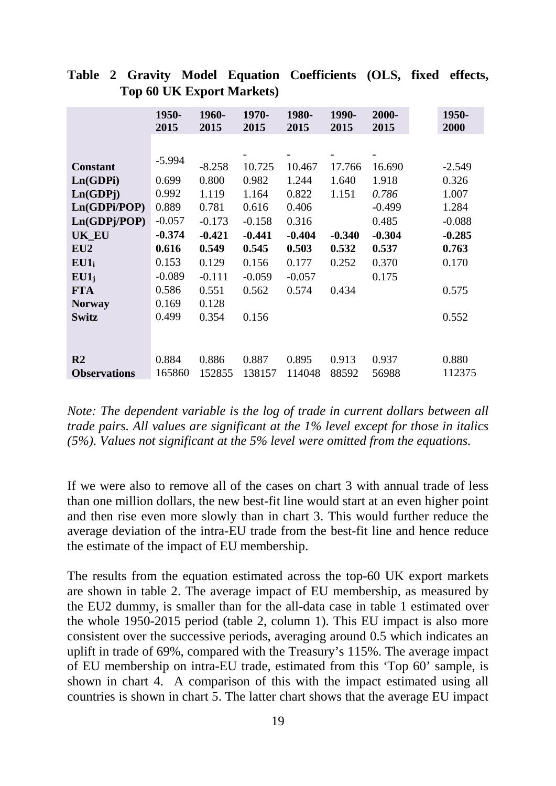|                       | 1950-<br>2015 | 1960-<br>2015 | 1970-<br>2015 | 1980-<br>2015 | 1990-<br>2015 | 2000-<br>2015 | 1950-<br>2000 |
|-----------------------|---------------|---------------|---------------|---------------|---------------|---------------|---------------|
|                       |               |               |               |               |               |               |               |
|                       |               |               |               |               |               |               |               |
| <b>Constant</b>       | $-5.994$      | $-8.258$      | 10.725        | 10.467        | 17.766        | 16.690        | $-2.549$      |
| Ln(GDPi)              | 0.699         | 0.800         | 0.982         | 1.244         | 1.640         | 1.918         | 0.326         |
| Ln(GDP <sub>j</sub> ) | 0.992         | 1.119         | 1.164         | 0.822         | 1.151         | 0.786         | 1.007         |
| Ln(GDPi/POP)          | 0.889         | 0.781         | 0.616         | 0.406         |               | $-0.499$      | 1.284         |
| Ln(GDPj/POP)          | $-0.057$      | $-0.173$      | $-0.158$      | 0.316         |               | 0.485         | $-0.088$      |
| <b>UK_EU</b>          | $-0.374$      | $-0.421$      | $-0.441$      | $-0.404$      | $-0.340$      | $-0.304$      | $-0.285$      |
| EU2                   | 0.616         | 0.549         | 0.545         | 0.503         | 0.532         | 0.537         | 0.763         |
| EU1                   | 0.153         | 0.129         | 0.156         | 0.177         | 0.252         | 0.370         | 0.170         |
| $EU1_i$               | $-0.089$      | $-0.111$      | $-0.059$      | $-0.057$      |               | 0.175         |               |
| <b>FTA</b>            | 0.586         | 0.551         | 0.562         | 0.574         | 0.434         |               | 0.575         |
| <b>Norway</b>         | 0.169         | 0.128         |               |               |               |               |               |
| <b>Switz</b>          | 0.499         | 0.354         | 0.156         |               |               |               | 0.552         |
|                       |               |               |               |               |               |               |               |
|                       |               |               |               |               |               |               |               |
| R <sub>2</sub>        | 0.884         | 0.886         | 0.887         | 0.895         | 0.913         | 0.937         | 0.880         |
| <b>Observations</b>   | 165860        | 152855        | 138157        | 114048        | 88592         | 56988         | 112375        |

**Table 2 Gravity Model Equation Coefficients (OLS, fixed effects, Top 60 UK Export Markets)**

*Note: The dependent variable is the log of trade in current dollars between all trade pairs. All values are significant at the 1% level except for those in italics (5%). Values not significant at the 5% level were omitted from the equations.*

If we were also to remove all of the cases on chart 3 with annual trade of less than one million dollars, the new best-fit line would start at an even higher point and then rise even more slowly than in chart 3. This would further reduce the average deviation of the intra-EU trade from the best-fit line and hence reduce the estimate of the impact of EU membership.

The results from the equation estimated across the top-60 UK export markets are shown in table 2. The average impact of EU membership, as measured by the EU2 dummy, is smaller than for the all-data case in table 1 estimated over the whole 1950-2015 period (table 2, column 1). This EU impact is also more consistent over the successive periods, averaging around 0.5 which indicates an uplift in trade of 69%, compared with the Treasury's 115%. The average impact of EU membership on intra-EU trade, estimated from this 'Top 60' sample, is shown in chart 4. A comparison of this with the impact estimated using all countries is shown in chart 5. The latter chart shows that the average EU impact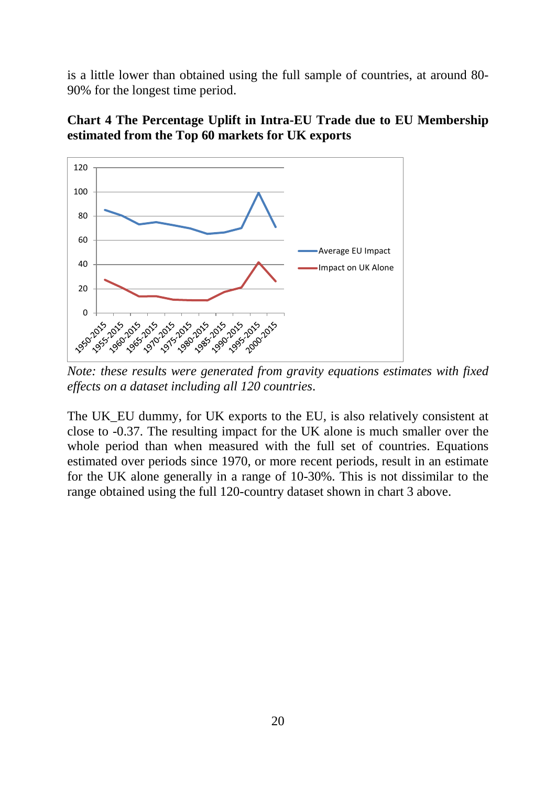is a little lower than obtained using the full sample of countries, at around 80- 90% for the longest time period.



**Chart 4 The Percentage Uplift in Intra-EU Trade due to EU Membership estimated from the Top 60 markets for UK exports**

*Note: these results were generated from gravity equations estimates with fixed effects on a dataset including all 120 countries*.

The UK EU dummy, for UK exports to the EU, is also relatively consistent at close to -0.37. The resulting impact for the UK alone is much smaller over the whole period than when measured with the full set of countries. Equations estimated over periods since 1970, or more recent periods, result in an estimate for the UK alone generally in a range of 10-30%. This is not dissimilar to the range obtained using the full 120-country dataset shown in chart 3 above.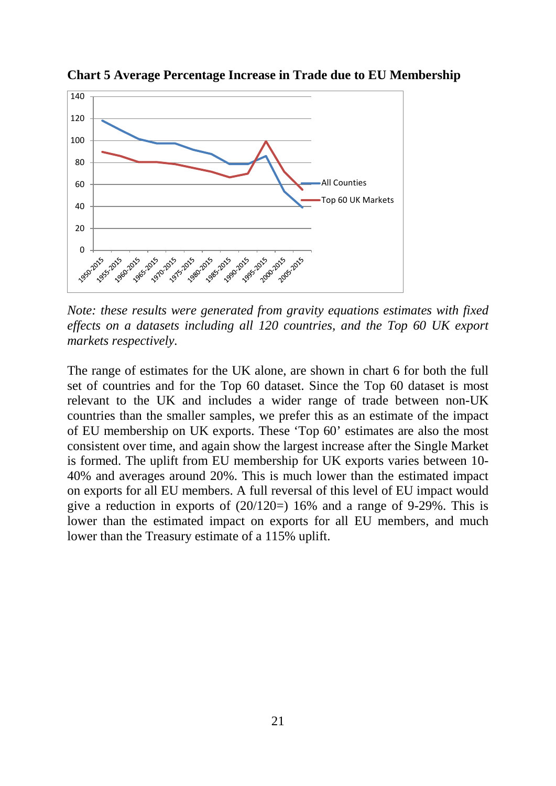

**Chart 5 Average Percentage Increase in Trade due to EU Membership**

*Note: these results were generated from gravity equations estimates with fixed effects on a datasets including all 120 countries, and the Top 60 UK export markets respectively.*

The range of estimates for the UK alone, are shown in chart 6 for both the full set of countries and for the Top 60 dataset. Since the Top 60 dataset is most relevant to the UK and includes a wider range of trade between non-UK countries than the smaller samples, we prefer this as an estimate of the impact of EU membership on UK exports. These 'Top 60' estimates are also the most consistent over time, and again show the largest increase after the Single Market is formed. The uplift from EU membership for UK exports varies between 10- 40% and averages around 20%. This is much lower than the estimated impact on exports for all EU members. A full reversal of this level of EU impact would give a reduction in exports of  $(20/120=) 16%$  and a range of 9-29%. This is lower than the estimated impact on exports for all EU members, and much lower than the Treasury estimate of a 115% uplift.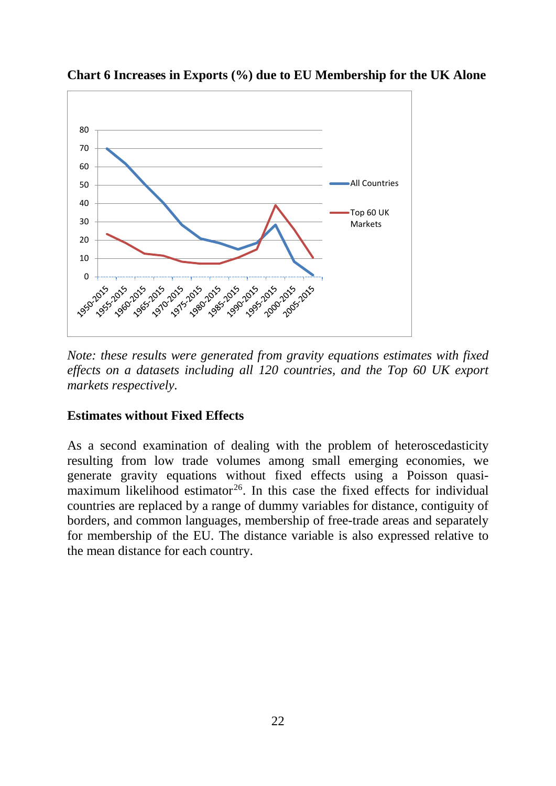

**Chart 6 Increases in Exports (%) due to EU Membership for the UK Alone**

*Note: these results were generated from gravity equations estimates with fixed effects on a datasets including all 120 countries, and the Top 60 UK export markets respectively.*

### **Estimates without Fixed Effects**

As a second examination of dealing with the problem of heteroscedasticity resulting from low trade volumes among small emerging economies, we generate gravity equations without fixed effects using a Poisson quasimaximum likelihood estimator<sup>26</sup>. In this case the fixed effects for individual countries are replaced by a range of dummy variables for distance, contiguity of borders, and common languages, membership of free-trade areas and separately for membership of the EU. The distance variable is also expressed relative to the mean distance for each country.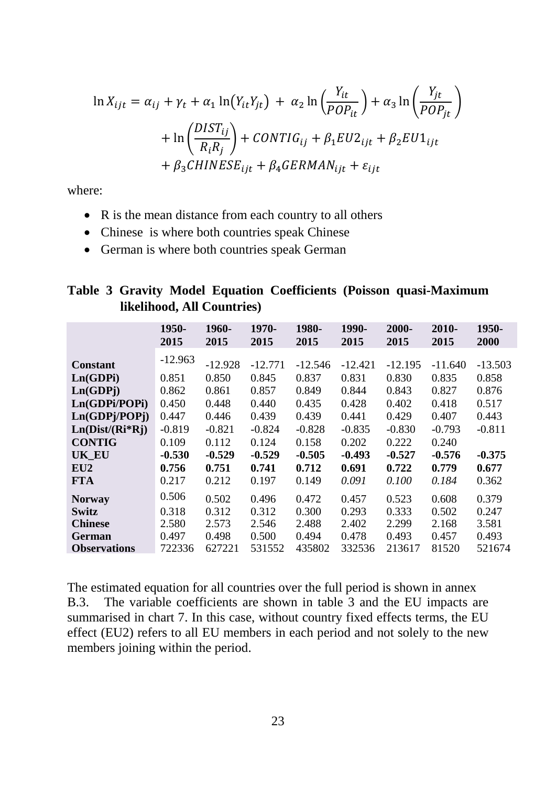$$
\ln X_{ijt} = \alpha_{ij} + \gamma_t + \alpha_1 \ln(Y_{it}Y_{jt}) + \alpha_2 \ln\left(\frac{Y_{it}}{POP_{it}}\right) + \alpha_3 \ln\left(\frac{Y_{jt}}{POP_{jt}}\right)
$$

$$
+ \ln\left(\frac{DIST_{ij}}{R_iR_j}\right) + CONTIG_{ij} + \beta_1 EU2_{ijt} + \beta_2 EU1_{ijt}
$$

$$
+ \beta_3 CHINESE_{ijt} + \beta_4 GERMAN_{ijt} + \varepsilon_{ijt}
$$

where:

- R is the mean distance from each country to all others
- Chinese is where both countries speak Chinese
- German is where both countries speak German

|  |                            |  | Table 3 Gravity Model Equation Coefficients (Poisson quasi-Maximum |
|--|----------------------------|--|--------------------------------------------------------------------|
|  | likelihood, All Countries) |  |                                                                    |

|                     | 1950-<br>2015 | 1960-<br>2015 | 1970-<br>2015 | 1980-<br>2015 | 1990-<br>2015 | 2000-<br>2015 | 2010-<br>2015 | 1950-<br>2000 |
|---------------------|---------------|---------------|---------------|---------------|---------------|---------------|---------------|---------------|
| <b>Constant</b>     | $-12.963$     | $-12.928$     | $-12.771$     | $-12.546$     | $-12.421$     | $-12.195$     | $-11.640$     | $-13.503$     |
| Ln(GDPi)            | 0.851         | 0.850         | 0.845         | 0.837         | 0.831         | 0.830         | 0.835         | 0.858         |
| Ln(GDPj)            | 0.862         | 0.861         | 0.857         | 0.849         | 0.844         | 0.843         | 0.827         | 0.876         |
| Ln(GDPi/POPi)       | 0.450         | 0.448         | 0.440         | 0.435         | 0.428         | 0.402         | 0.418         | 0.517         |
| Ln(GDPj/POPj)       | 0.447         | 0.446         | 0.439         | 0.439         | 0.441         | 0.429         | 0.407         | 0.443         |
| $Ln(Dist/(Ri*Rj))$  | $-0.819$      | $-0.821$      | $-0.824$      | $-0.828$      | $-0.835$      | $-0.830$      | $-0.793$      | $-0.811$      |
| <b>CONTIG</b>       | 0.109         | 0.112         | 0.124         | 0.158         | 0.202         | 0.222         | 0.240         |               |
| <b>UK EU</b>        | $-0.530$      | $-0.529$      | $-0.529$      | $-0.505$      | $-0.493$      | $-0.527$      | $-0.576$      | $-0.375$      |
| EU2                 | 0.756         | 0.751         | 0.741         | 0.712         | 0.691         | 0.722         | 0.779         | 0.677         |
| <b>FTA</b>          | 0.217         | 0.212         | 0.197         | 0.149         | 0.091         | 0.100         | 0.184         | 0.362         |
| <b>Norway</b>       | 0.506         | 0.502         | 0.496         | 0.472         | 0.457         | 0.523         | 0.608         | 0.379         |
| <b>Switz</b>        | 0.318         | 0.312         | 0.312         | 0.300         | 0.293         | 0.333         | 0.502         | 0.247         |
| <b>Chinese</b>      | 2.580         | 2.573         | 2.546         | 2.488         | 2.402         | 2.299         | 2.168         | 3.581         |
| <b>German</b>       | 0.497         | 0.498         | 0.500         | 0.494         | 0.478         | 0.493         | 0.457         | 0.493         |
| <b>Observations</b> | 722336        | 627221        | 531552        | 435802        | 332536        | 213617        | 81520         | 521674        |

The estimated equation for all countries over the full period is shown in annex B.3. The variable coefficients are shown in table 3 and the EU impacts are summarised in chart 7. In this case, without country fixed effects terms, the EU effect (EU2) refers to all EU members in each period and not solely to the new members joining within the period.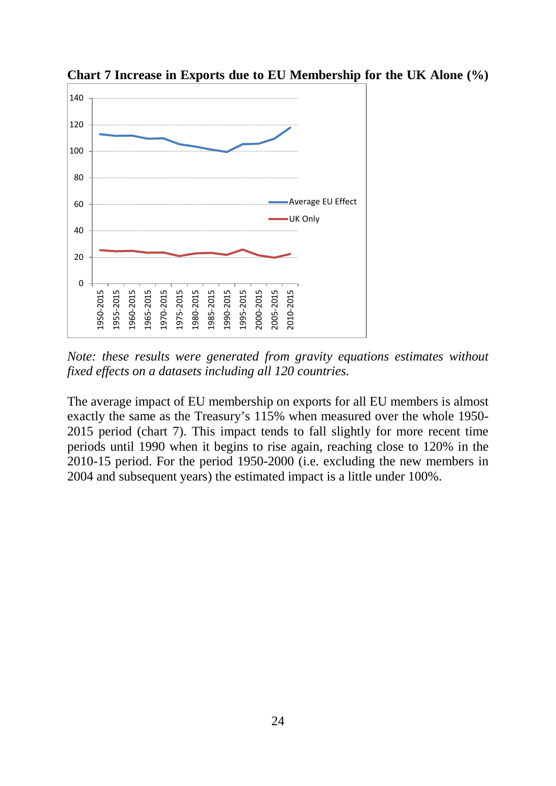

**Chart 7 Increase in Exports due to EU Membership for the UK Alone (%)** 

*Note: these results were generated from gravity equations estimates without fixed effects on a datasets including all 120 countries.*

The average impact of EU membership on exports for all EU members is almost exactly the same as the Treasury's 115% when measured over the whole 1950- 2015 period (chart 7). This impact tends to fall slightly for more recent time periods until 1990 when it begins to rise again, reaching close to 120% in the 2010-15 period. For the period 1950-2000 (i.e. excluding the new members in 2004 and subsequent years) the estimated impact is a little under 100%.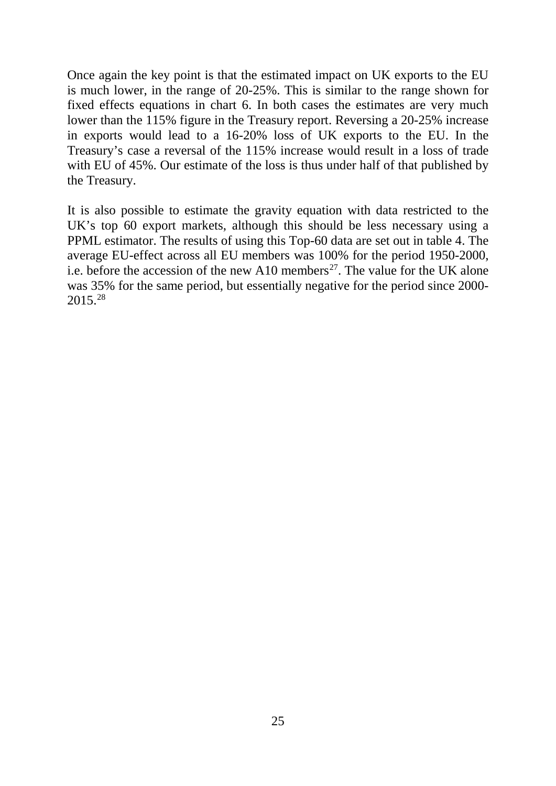Once again the key point is that the estimated impact on UK exports to the EU is much lower, in the range of 20-25%. This is similar to the range shown for fixed effects equations in chart 6. In both cases the estimates are very much lower than the 115% figure in the Treasury report. Reversing a 20-25% increase in exports would lead to a 16-20% loss of UK exports to the EU. In the Treasury's case a reversal of the 115% increase would result in a loss of trade with EU of 45%. Our estimate of the loss is thus under half of that published by the Treasury.

It is also possible to estimate the gravity equation with data restricted to the UK's top 60 export markets, although this should be less necessary using a PPML estimator. The results of using this Top-60 data are set out in table 4. The average EU-effect across all EU members was 100% for the period 1950-2000, i.e. before the accession of the new A10 members<sup>[27](#page--1-26)</sup>. The value for the UK alone was 35% for the same period, but essentially negative for the period since 2000- 2015. [28](#page--1-27)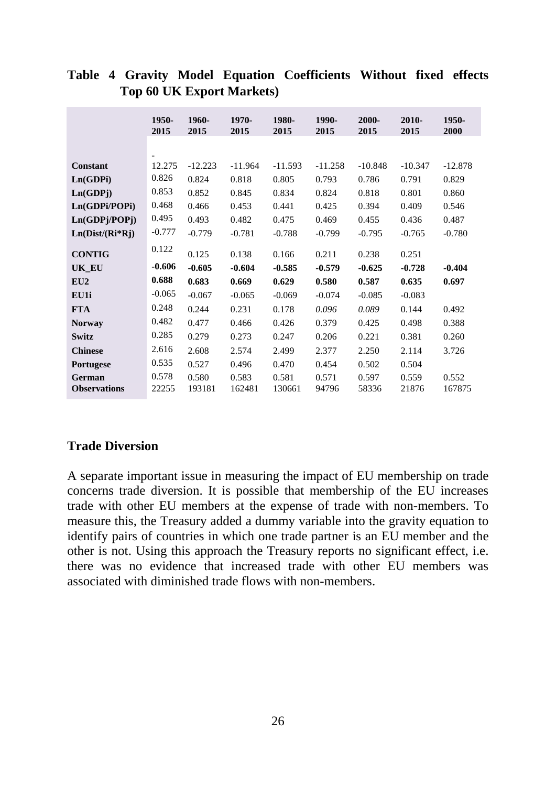|                     | 1950-<br>2015 | 1960-<br>2015 | 1970-<br>2015 | 1980-<br>2015 | 1990-<br>2015 | 2000-<br>2015 | 2010-<br>2015 | 1950-<br>2000 |
|---------------------|---------------|---------------|---------------|---------------|---------------|---------------|---------------|---------------|
|                     |               |               |               |               |               |               |               |               |
| <b>Constant</b>     | 12.275        | $-12.223$     | $-11.964$     | $-11.593$     | $-11.258$     | $-10.848$     | $-10.347$     | $-12.878$     |
| Ln(GDPi)            | 0.826         | 0.824         | 0.818         | 0.805         | 0.793         | 0.786         | 0.791         | 0.829         |
| Ln(GDPj)            | 0.853         | 0.852         | 0.845         | 0.834         | 0.824         | 0.818         | 0.801         | 0.860         |
| Ln(GDPi/POPi)       | 0.468         | 0.466         | 0.453         | 0.441         | 0.425         | 0.394         | 0.409         | 0.546         |
| Ln(GDPj/POPj)       | 0.495         | 0.493         | 0.482         | 0.475         | 0.469         | 0.455         | 0.436         | 0.487         |
| $Ln(Dist/(Ri*Rj))$  | $-0.777$      | $-0.779$      | $-0.781$      | $-0.788$      | $-0.799$      | $-0.795$      | $-0.765$      | $-0.780$      |
| <b>CONTIG</b>       | 0.122         | 0.125         | 0.138         | 0.166         | 0.211         | 0.238         | 0.251         |               |
| UK_EU               | $-0.606$      | $-0.605$      | $-0.604$      | $-0.585$      | $-0.579$      | $-0.625$      | $-0.728$      | $-0.404$      |
| EU2                 | 0.688         | 0.683         | 0.669         | 0.629         | 0.580         | 0.587         | 0.635         | 0.697         |
| EU1i                | $-0.065$      | $-0.067$      | $-0.065$      | $-0.069$      | $-0.074$      | $-0.085$      | $-0.083$      |               |
| <b>FTA</b>          | 0.248         | 0.244         | 0.231         | 0.178         | 0.096         | 0.089         | 0.144         | 0.492         |
| <b>Norway</b>       | 0.482         | 0.477         | 0.466         | 0.426         | 0.379         | 0.425         | 0.498         | 0.388         |
| Switz               | 0.285         | 0.279         | 0.273         | 0.247         | 0.206         | 0.221         | 0.381         | 0.260         |
| <b>Chinese</b>      | 2.616         | 2.608         | 2.574         | 2.499         | 2.377         | 2.250         | 2.114         | 3.726         |
| <b>Portugese</b>    | 0.535         | 0.527         | 0.496         | 0.470         | 0.454         | 0.502         | 0.504         |               |
| German              | 0.578         | 0.580         | 0.583         | 0.581         | 0.571         | 0.597         | 0.559         | 0.552         |
| <b>Observations</b> | 22255         | 193181        | 162481        | 130661        | 94796         | 58336         | 21876         | 167875        |

# **Table 4 Gravity Model Equation Coefficients Without fixed effects Top 60 UK Export Markets)**

### **Trade Diversion**

A separate important issue in measuring the impact of EU membership on trade concerns trade diversion. It is possible that membership of the EU increases trade with other EU members at the expense of trade with non-members. To measure this, the Treasury added a dummy variable into the gravity equation to identify pairs of countries in which one trade partner is an EU member and the other is not. Using this approach the Treasury reports no significant effect, i.e. there was no evidence that increased trade with other EU members was associated with diminished trade flows with non-members.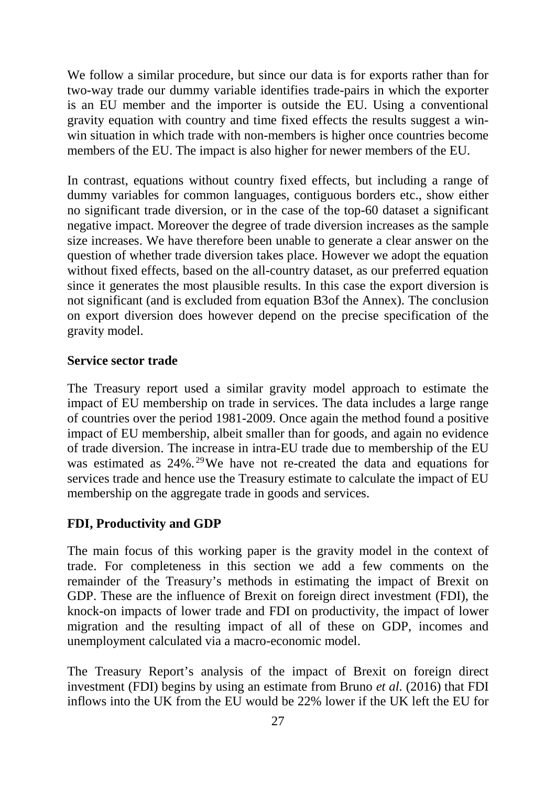We follow a similar procedure, but since our data is for exports rather than for two-way trade our dummy variable identifies trade-pairs in which the exporter is an EU member and the importer is outside the EU. Using a conventional gravity equation with country and time fixed effects the results suggest a winwin situation in which trade with non-members is higher once countries become members of the EU. The impact is also higher for newer members of the EU.

In contrast, equations without country fixed effects, but including a range of dummy variables for common languages, contiguous borders etc., show either no significant trade diversion, or in the case of the top-60 dataset a significant negative impact. Moreover the degree of trade diversion increases as the sample size increases. We have therefore been unable to generate a clear answer on the question of whether trade diversion takes place. However we adopt the equation without fixed effects, based on the all-country dataset, as our preferred equation since it generates the most plausible results. In this case the export diversion is not significant (and is excluded from equation B3of the Annex). The conclusion on export diversion does however depend on the precise specification of the gravity model.

#### **Service sector trade**

The Treasury report used a similar gravity model approach to estimate the impact of EU membership on trade in services. The data includes a large range of countries over the period 1981-2009. Once again the method found a positive impact of EU membership, albeit smaller than for goods, and again no evidence of trade diversion. The increase in intra-EU trade due to membership of the EU was estimated as  $24\%$ .<sup>[29](#page--1-28)</sup>We have not re-created the data and equations for services trade and hence use the Treasury estimate to calculate the impact of EU membership on the aggregate trade in goods and services.

#### **FDI, Productivity and GDP**

The main focus of this working paper is the gravity model in the context of trade. For completeness in this section we add a few comments on the remainder of the Treasury's methods in estimating the impact of Brexit on GDP. These are the influence of Brexit on foreign direct investment (FDI), the knock-on impacts of lower trade and FDI on productivity, the impact of lower migration and the resulting impact of all of these on GDP, incomes and unemployment calculated via a macro-economic model.

The Treasury Report's analysis of the impact of Brexit on foreign direct investment (FDI) begins by using an estimate from Bruno *et al.* (2016) that FDI inflows into the UK from the EU would be 22% lower if the UK left the EU for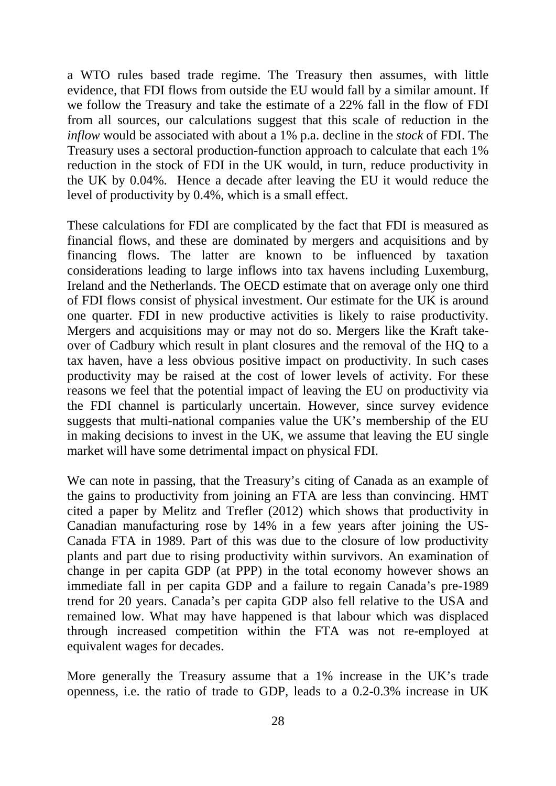a WTO rules based trade regime. The Treasury then assumes, with little evidence, that FDI flows from outside the EU would fall by a similar amount. If we follow the Treasury and take the estimate of a 22% fall in the flow of FDI from all sources, our calculations suggest that this scale of reduction in the *inflow* would be associated with about a 1% p.a. decline in the *stock* of FDI. The Treasury uses a sectoral production-function approach to calculate that each 1% reduction in the stock of FDI in the UK would, in turn, reduce productivity in the UK by 0.04%. Hence a decade after leaving the EU it would reduce the level of productivity by 0.4%, which is a small effect.

These calculations for FDI are complicated by the fact that FDI is measured as financial flows, and these are dominated by mergers and acquisitions and by financing flows. The latter are known to be influenced by taxation considerations leading to large inflows into tax havens including Luxemburg, Ireland and the Netherlands. The OECD estimate that on average only one third of FDI flows consist of physical investment. Our estimate for the UK is around one quarter. FDI in new productive activities is likely to raise productivity. Mergers and acquisitions may or may not do so. Mergers like the Kraft takeover of Cadbury which result in plant closures and the removal of the HQ to a tax haven, have a less obvious positive impact on productivity. In such cases productivity may be raised at the cost of lower levels of activity. For these reasons we feel that the potential impact of leaving the EU on productivity via the FDI channel is particularly uncertain. However, since survey evidence suggests that multi-national companies value the UK's membership of the EU in making decisions to invest in the UK, we assume that leaving the EU single market will have some detrimental impact on physical FDI.

We can note in passing, that the Treasury's citing of Canada as an example of the gains to productivity from joining an FTA are less than convincing. HMT cited a paper by Melitz and Trefler (2012) which shows that productivity in Canadian manufacturing rose by 14% in a few years after joining the US-Canada FTA in 1989. Part of this was due to the closure of low productivity plants and part due to rising productivity within survivors. An examination of change in per capita GDP (at PPP) in the total economy however shows an immediate fall in per capita GDP and a failure to regain Canada's pre-1989 trend for 20 years. Canada's per capita GDP also fell relative to the USA and remained low. What may have happened is that labour which was displaced through increased competition within the FTA was not re-employed at equivalent wages for decades.

More generally the Treasury assume that a 1% increase in the UK's trade openness, i.e. the ratio of trade to GDP, leads to a 0.2-0.3% increase in UK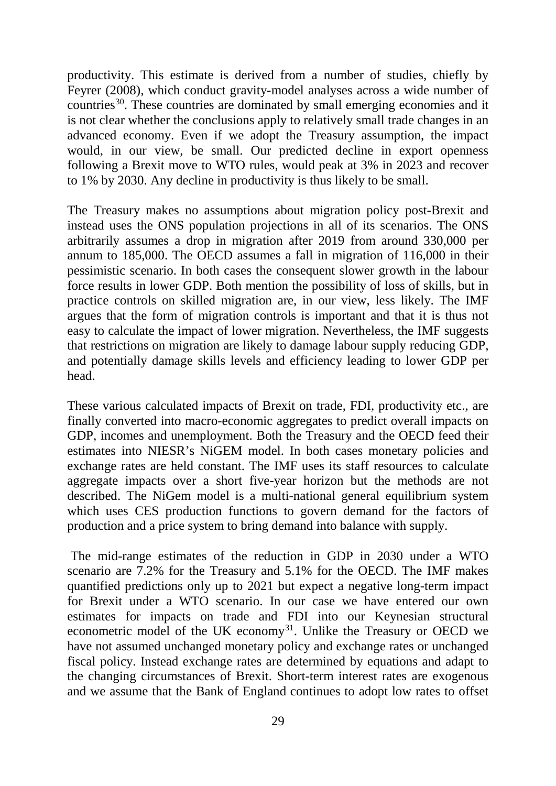productivity. This estimate is derived from a number of studies, chiefly by Feyrer (2008), which conduct gravity-model analyses across a wide number of countries<sup>30</sup>. These countries are dominated by small emerging economies and it is not clear whether the conclusions apply to relatively small trade changes in an advanced economy. Even if we adopt the Treasury assumption, the impact would, in our view, be small. Our predicted decline in export openness following a Brexit move to WTO rules, would peak at 3% in 2023 and recover to 1% by 2030. Any decline in productivity is thus likely to be small.

The Treasury makes no assumptions about migration policy post-Brexit and instead uses the ONS population projections in all of its scenarios. The ONS arbitrarily assumes a drop in migration after 2019 from around 330,000 per annum to 185,000. The OECD assumes a fall in migration of 116,000 in their pessimistic scenario. In both cases the consequent slower growth in the labour force results in lower GDP. Both mention the possibility of loss of skills, but in practice controls on skilled migration are, in our view, less likely. The IMF argues that the form of migration controls is important and that it is thus not easy to calculate the impact of lower migration. Nevertheless, the IMF suggests that restrictions on migration are likely to damage labour supply reducing GDP, and potentially damage skills levels and efficiency leading to lower GDP per head.

These various calculated impacts of Brexit on trade, FDI, productivity etc., are finally converted into macro-economic aggregates to predict overall impacts on GDP, incomes and unemployment. Both the Treasury and the OECD feed their estimates into NIESR's NiGEM model. In both cases monetary policies and exchange rates are held constant. The IMF uses its staff resources to calculate aggregate impacts over a short five-year horizon but the methods are not described. The NiGem model is a multi-national general equilibrium system which uses CES production functions to govern demand for the factors of production and a price system to bring demand into balance with supply.

The mid-range estimates of the reduction in GDP in 2030 under a WTO scenario are 7.2% for the Treasury and 5.1% for the OECD. The IMF makes quantified predictions only up to 2021 but expect a negative long-term impact for Brexit under a WTO scenario. In our case we have entered our own estimates for impacts on trade and FDI into our Keynesian structural econometric model of the UK economy<sup>31</sup>. Unlike the Treasury or OECD we have not assumed unchanged monetary policy and exchange rates or unchanged fiscal policy. Instead exchange rates are determined by equations and adapt to the changing circumstances of Brexit. Short-term interest rates are exogenous and we assume that the Bank of England continues to adopt low rates to offset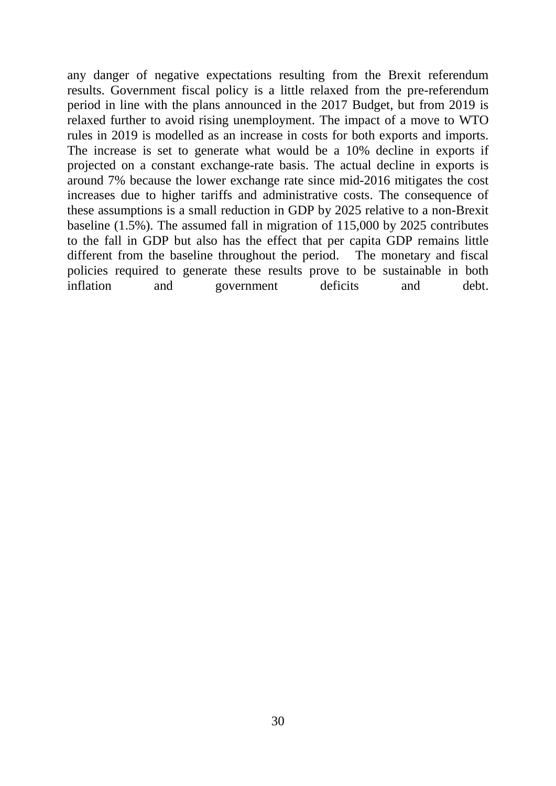any danger of negative expectations resulting from the Brexit referendum results. Government fiscal policy is a little relaxed from the pre-referendum period in line with the plans announced in the 2017 Budget, but from 2019 is relaxed further to avoid rising unemployment. The impact of a move to WTO rules in 2019 is modelled as an increase in costs for both exports and imports. The increase is set to generate what would be a 10% decline in exports if projected on a constant exchange-rate basis. The actual decline in exports is around 7% because the lower exchange rate since mid-2016 mitigates the cost increases due to higher tariffs and administrative costs. The consequence of these assumptions is a small reduction in GDP by 2025 relative to a non-Brexit baseline (1.5%). The assumed fall in migration of 115,000 by 2025 contributes to the fall in GDP but also has the effect that per capita GDP remains little different from the baseline throughout the period. The monetary and fiscal policies required to generate these results prove to be sustainable in both inflation and government deficits and debt.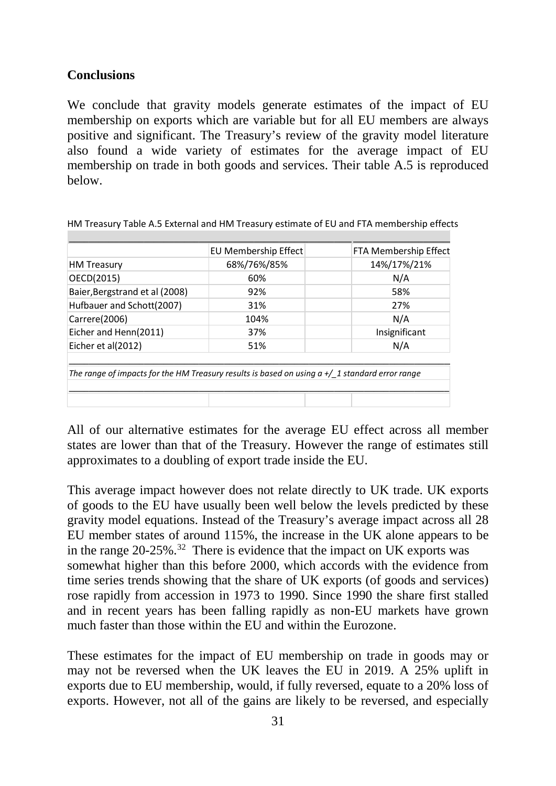### **Conclusions**

We conclude that gravity models generate estimates of the impact of EU membership on exports which are variable but for all EU members are always positive and significant. The Treasury's review of the gravity model literature also found a wide variety of estimates for the average impact of EU membership on trade in both goods and services. Their table A.5 is reproduced below.

| 14%/17%/21%<br>68%/76%/85%<br><b>HM Treasury</b><br>OECD(2015)<br>N/A<br>60%<br>Baier, Bergstrand et al (2008)<br>92%<br>58%<br>Hufbauer and Schott(2007)<br>27%<br>31%<br>N/A<br>Carrere(2006)<br>104%<br>Eicher and Henn(2011)<br>Insignificant<br>37% | EU Membership Effect | FTA Membership Effect |
|----------------------------------------------------------------------------------------------------------------------------------------------------------------------------------------------------------------------------------------------------------|----------------------|-----------------------|
|                                                                                                                                                                                                                                                          |                      |                       |
|                                                                                                                                                                                                                                                          |                      |                       |
|                                                                                                                                                                                                                                                          |                      |                       |
|                                                                                                                                                                                                                                                          |                      |                       |
|                                                                                                                                                                                                                                                          |                      |                       |
|                                                                                                                                                                                                                                                          |                      |                       |
| N/A<br>Eicher et al(2012)<br>51%                                                                                                                                                                                                                         |                      |                       |

HM Treasury Table A.5 External and HM Treasury estimate of EU and FTA membership effects

All of our alternative estimates for the average EU effect across all member states are lower than that of the Treasury. However the range of estimates still approximates to a doubling of export trade inside the EU.

This average impact however does not relate directly to UK trade. UK exports of goods to the EU have usually been well below the levels predicted by these gravity model equations. Instead of the Treasury's average impact across all 28 EU member states of around 115%, the increase in the UK alone appears to be in the range  $20-25\%$ .<sup>[32](#page--1-31)</sup> There is evidence that the impact on UK exports was somewhat higher than this before 2000, which accords with the evidence from time series trends showing that the share of UK exports (of goods and services) rose rapidly from accession in 1973 to 1990. Since 1990 the share first stalled and in recent years has been falling rapidly as non-EU markets have grown much faster than those within the EU and within the Eurozone.

These estimates for the impact of EU membership on trade in goods may or may not be reversed when the UK leaves the EU in 2019. A 25% uplift in exports due to EU membership, would, if fully reversed, equate to a 20% loss of exports. However, not all of the gains are likely to be reversed, and especially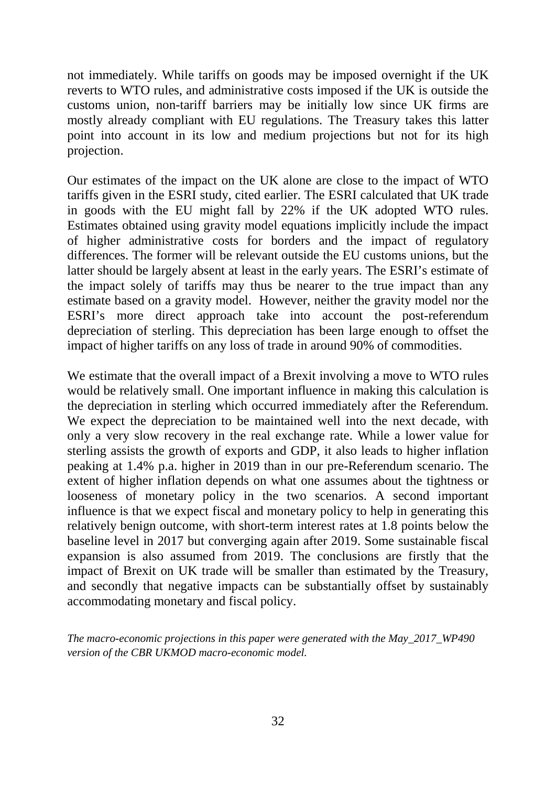not immediately. While tariffs on goods may be imposed overnight if the UK reverts to WTO rules, and administrative costs imposed if the UK is outside the customs union, non-tariff barriers may be initially low since UK firms are mostly already compliant with EU regulations. The Treasury takes this latter point into account in its low and medium projections but not for its high projection.

Our estimates of the impact on the UK alone are close to the impact of WTO tariffs given in the ESRI study, cited earlier. The ESRI calculated that UK trade in goods with the EU might fall by 22% if the UK adopted WTO rules. Estimates obtained using gravity model equations implicitly include the impact of higher administrative costs for borders and the impact of regulatory differences. The former will be relevant outside the EU customs unions, but the latter should be largely absent at least in the early years. The ESRI's estimate of the impact solely of tariffs may thus be nearer to the true impact than any estimate based on a gravity model. However, neither the gravity model nor the ESRI's more direct approach take into account the post-referendum depreciation of sterling. This depreciation has been large enough to offset the impact of higher tariffs on any loss of trade in around 90% of commodities.

We estimate that the overall impact of a Brexit involving a move to WTO rules would be relatively small. One important influence in making this calculation is the depreciation in sterling which occurred immediately after the Referendum. We expect the depreciation to be maintained well into the next decade, with only a very slow recovery in the real exchange rate. While a lower value for sterling assists the growth of exports and GDP, it also leads to higher inflation peaking at 1.4% p.a. higher in 2019 than in our pre-Referendum scenario. The extent of higher inflation depends on what one assumes about the tightness or looseness of monetary policy in the two scenarios. A second important influence is that we expect fiscal and monetary policy to help in generating this relatively benign outcome, with short-term interest rates at 1.8 points below the baseline level in 2017 but converging again after 2019. Some sustainable fiscal expansion is also assumed from 2019. The conclusions are firstly that the impact of Brexit on UK trade will be smaller than estimated by the Treasury, and secondly that negative impacts can be substantially offset by sustainably accommodating monetary and fiscal policy.

*The macro-economic projections in this paper were generated with the May\_2017\_WP490 version of the CBR UKMOD macro-economic model.*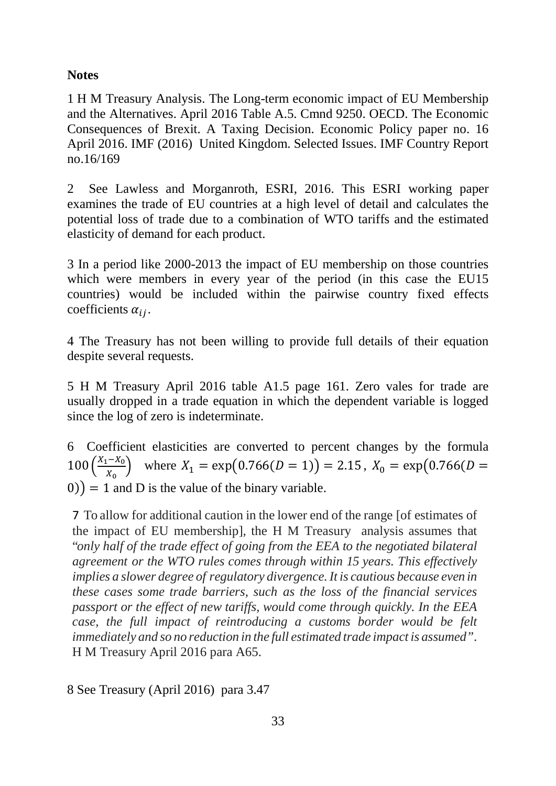### **Notes**

1 H M Treasury Analysis. The Long-term economic impact of EU Membership and the Alternatives. April 2016 Table A.5. Cmnd 9250. OECD. The Economic Consequences of Brexit. A Taxing Decision. Economic Policy paper no. 16 April 2016. IMF (2016) United Kingdom. Selected Issues. IMF Country Report no.16/169

2 See Lawless and Morganroth, ESRI, 2016. This ESRI working paper examines the trade of EU countries at a high level of detail and calculates the potential loss of trade due to a combination of WTO tariffs and the estimated elasticity of demand for each product.

3 In a period like 2000-2013 the impact of EU membership on those countries which were members in every year of the period (in this case the EU15 countries) would be included within the pairwise country fixed effects coefficients  $\alpha_{ij}$ .

4 The Treasury has not been willing to provide full details of their equation despite several requests.

5 H M Treasury April 2016 table A1.5 page 161. Zero vales for trade are usually dropped in a trade equation in which the dependent variable is logged since the log of zero is indeterminate.

6 Coefficient elasticities are converted to percent changes by the formula  $100 \left(\frac{X_1 - X_0}{X_0}\right)$  $\left(\frac{1 - \lambda_0}{X_0}\right)$  where  $X_1 = \exp(0.766(D = 1)) = 2.15$ ,  $X_0 = \exp(0.766(D = 1))$  $(0)$  = 1 and D is the value of the binary variable.

7 To allow for additional caution in the lower end of the range [of estimates of the impact of EU membership], the H M Treasury analysis assumes that "*only half of the trade effect of going from the EEA to the negotiated bilateral agreement or the WTO rules comes through within 15 years. This effectively implies a slower degree of regulatory divergence.It is cautious because even in these cases some trade barriers, such as the loss of the financial services passport or the effect of new tariffs, would come through quickly. In the EEA case, the full impact of reintroducing a customs border would be felt immediately and so no reduction in the full estimated trade impact is assumed"*. H M Treasury April 2016 para A65.

8 See Treasury (April 2016) para 3.47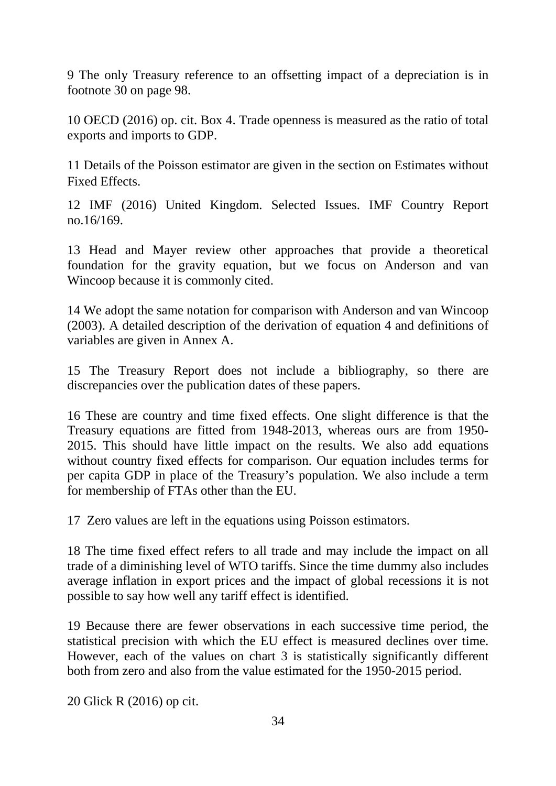9 The only Treasury reference to an offsetting impact of a depreciation is in footnote 30 on page 98.

10 OECD (2016) op. cit. Box 4. Trade openness is measured as the ratio of total exports and imports to GDP.

11 Details of the Poisson estimator are given in the section on Estimates without Fixed Effects.

12 IMF (2016) United Kingdom. Selected Issues. IMF Country Report no.16/169.

13 Head and Mayer review other approaches that provide a theoretical foundation for the gravity equation, but we focus on Anderson and van Wincoop because it is commonly cited.

14 We adopt the same notation for comparison with Anderson and van Wincoop (2003). A detailed description of the derivation of equation 4 and definitions of variables are given in Annex A.

15 The Treasury Report does not include a bibliography, so there are discrepancies over the publication dates of these papers.

16 These are country and time fixed effects. One slight difference is that the Treasury equations are fitted from 1948-2013, whereas ours are from 1950- 2015. This should have little impact on the results. We also add equations without country fixed effects for comparison. Our equation includes terms for per capita GDP in place of the Treasury's population. We also include a term for membership of FTAs other than the EU.

17 Zero values are left in the equations using Poisson estimators.

18 The time fixed effect refers to all trade and may include the impact on all trade of a diminishing level of WTO tariffs. Since the time dummy also includes average inflation in export prices and the impact of global recessions it is not possible to say how well any tariff effect is identified.

19 Because there are fewer observations in each successive time period, the statistical precision with which the EU effect is measured declines over time. However, each of the values on chart 3 is statistically significantly different both from zero and also from the value estimated for the 1950-2015 period.

20 Glick R (2016) op cit.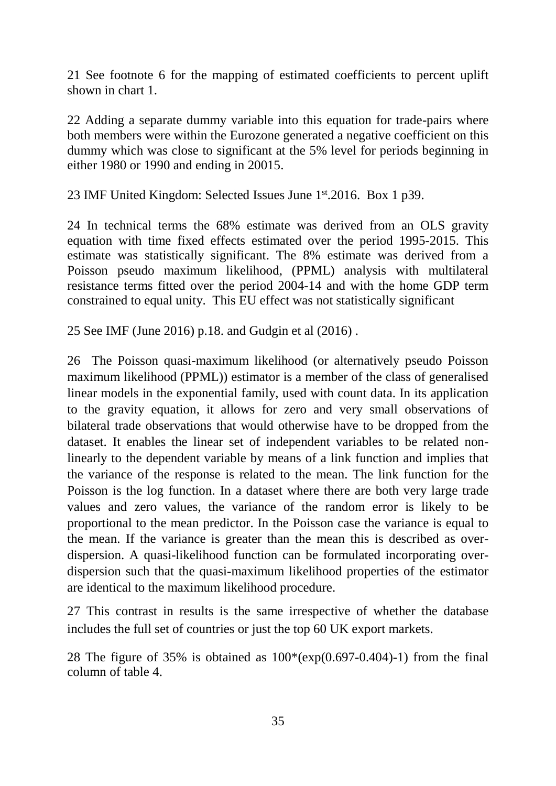21 See footnote 6 for the mapping of estimated coefficients to percent uplift shown in chart 1.

22 Adding a separate dummy variable into this equation for trade-pairs where both members were within the Eurozone generated a negative coefficient on this dummy which was close to significant at the 5% level for periods beginning in either 1980 or 1990 and ending in 20015.

23 IMF United Kingdom: Selected Issues June 1st.2016. Box 1 p39.

24 In technical terms the 68% estimate was derived from an OLS gravity equation with time fixed effects estimated over the period 1995-2015. This estimate was statistically significant. The 8% estimate was derived from a Poisson pseudo maximum likelihood, (PPML) analysis with multilateral resistance terms fitted over the period 2004-14 and with the home GDP term constrained to equal unity. This EU effect was not statistically significant

25 See IMF (June 2016) p.18. and Gudgin et al (2016) .

26 The Poisson quasi-maximum likelihood (or alternatively pseudo Poisson maximum likelihood (PPML)) estimator is a member of the class of generalised linear models in the exponential family, used with count data. In its application to the gravity equation, it allows for zero and very small observations of bilateral trade observations that would otherwise have to be dropped from the dataset. It enables the linear set of independent variables to be related nonlinearly to the dependent variable by means of a link function and implies that the variance of the response is related to the mean. The link function for the Poisson is the log function. In a dataset where there are both very large trade values and zero values, the variance of the random error is likely to be proportional to the mean predictor. In the Poisson case the variance is equal to the mean. If the variance is greater than the mean this is described as overdispersion. A quasi-likelihood function can be formulated incorporating overdispersion such that the quasi-maximum likelihood properties of the estimator are identical to the maximum likelihood procedure.

27 This contrast in results is the same irrespective of whether the database includes the full set of countries or just the top 60 UK export markets.

28 The figure of 35% is obtained as  $100*(exp(0.697-0.404)-1)$  from the final column of table 4.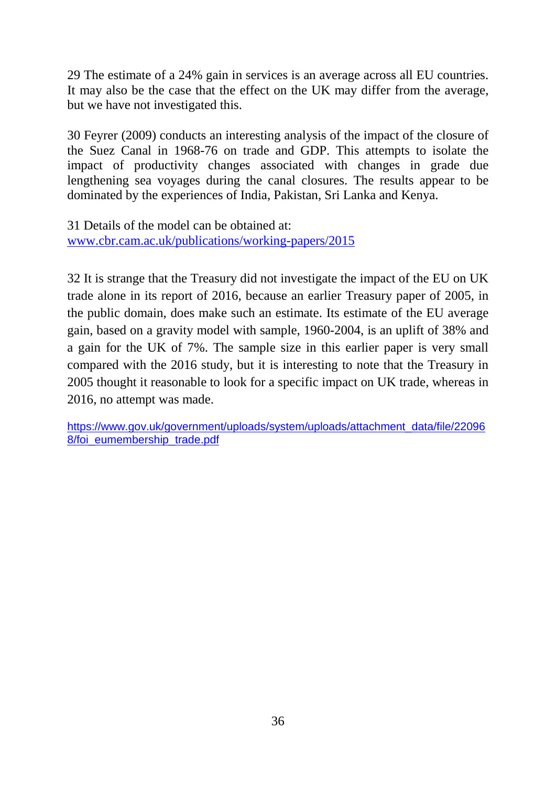29 The estimate of a 24% gain in services is an average across all EU countries. It may also be the case that the effect on the UK may differ from the average, but we have not investigated this.

30 Feyrer (2009) conducts an interesting analysis of the impact of the closure of the Suez Canal in 1968-76 on trade and GDP. This attempts to isolate the impact of productivity changes associated with changes in grade due lengthening sea voyages during the canal closures. The results appear to be dominated by the experiences of India, Pakistan, Sri Lanka and Kenya.

31 Details of the model can be obtained at: [www.cbr.cam.ac.uk/publications/working-papers/2015](http://www.cbr.cam.ac.uk/publications/working-papers/2015)

32 It is strange that the Treasury did not investigate the impact of the EU on UK trade alone in its report of 2016, because an earlier Treasury paper of 2005, in the public domain, does make such an estimate. Its estimate of the EU average gain, based on a gravity model with sample, 1960-2004, is an uplift of 38% and a gain for the UK of 7%. The sample size in this earlier paper is very small compared with the 2016 study, but it is interesting to note that the Treasury in 2005 thought it reasonable to look for a specific impact on UK trade, whereas in 2016, no attempt was made.

[https://www.gov.uk/government/uploads/system/uploads/attachment\\_data/file/22096](https://www.gov.uk/government/uploads/system/uploads/attachment_data/file/220968/foi_eumembership_trade.pdf) 8/foi eumembership trade.pdf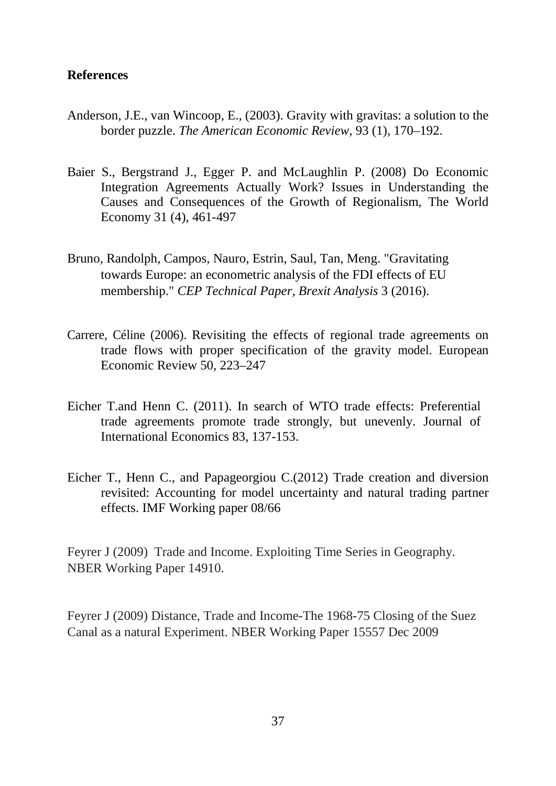#### **References**

- Anderson, J.E., van Wincoop, E., (2003). Gravity with gravitas: a solution to the border puzzle. *The American Economic Review*, 93 (1), 170–192.
- Baier S., Bergstrand J., Egger P. and McLaughlin P. (2008) Do Economic Integration Agreements Actually Work? Issues in Understanding the Causes and Consequences of the Growth of Regionalism, The World Economy 31 (4), 461-497
- Bruno, Randolph, Campos, Nauro, Estrin, Saul, Tan, Meng. "Gravitating towards Europe: an econometric analysis of the FDI effects of EU membership." *CEP Technical Paper, Brexit Analysis* 3 (2016).
- Carrere, Céline (2006). Revisiting the effects of regional trade agreements on trade flows with proper specification of the gravity model. European Economic Review 50, 223–247
- Eicher T.and Henn C. (2011). In search of WTO trade effects: Preferential trade agreements promote trade strongly, but unevenly. Journal of International Economics 83, 137-153.
- Eicher T., Henn C., and Papageorgiou C.(2012) Trade creation and diversion revisited: Accounting for model uncertainty and natural trading partner effects. IMF Working paper 08/66

Feyrer J (2009) Trade and Income. Exploiting Time Series in Geography. NBER Working Paper 14910.

Feyrer J (2009) Distance, Trade and Income-The 1968-75 Closing of the Suez Canal as a natural Experiment. NBER Working Paper 15557 Dec 2009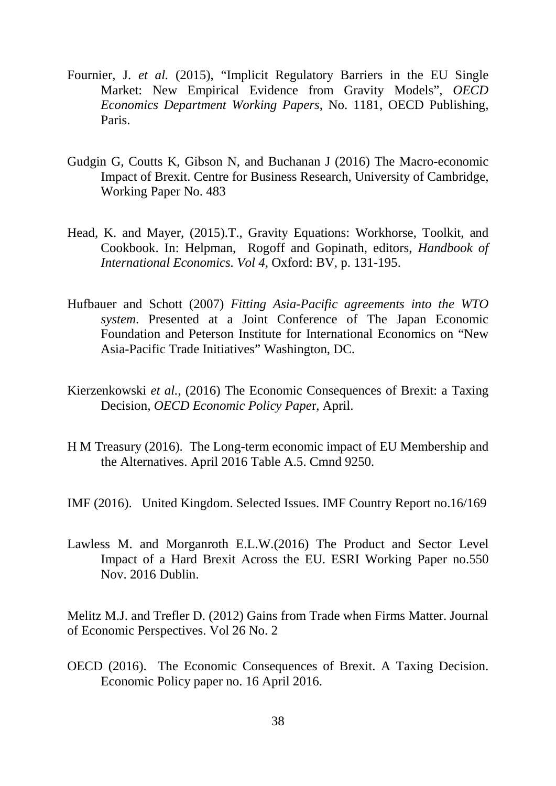- Fournier, J. *et al.* (2015), "Implicit Regulatory Barriers in the EU Single Market: New Empirical Evidence from Gravity Models", *OECD Economics Department Working Papers*, No. 1181, OECD Publishing, Paris.
- Gudgin G, Coutts K, Gibson N, and Buchanan J (2016) The Macro-economic Impact of Brexit. Centre for Business Research, University of Cambridge, Working Paper No. 483
- Head, K. and Mayer, (2015).T., Gravity Equations: Workhorse, Toolkit, and Cookbook. In: Helpman, Rogoff and Gopinath, editors, *Handbook of International Economics. Vol 4,* Oxford: BV, p. 131-195.
- Hufbauer and Schott (2007) *Fitting Asia-Pacific agreements into the WTO system*. Presented at a Joint Conference of The Japan Economic Foundation and Peterson Institute for International Economics on "New Asia-Pacific Trade Initiatives" Washington, DC.
- Kierzenkowski *et al.*, (2016) The Economic Consequences of Brexit: a Taxing Decision, *OECD Economic Policy Pape*r, April.
- H M Treasury (2016). The Long-term economic impact of EU Membership and the Alternatives. April 2016 Table A.5. Cmnd 9250.
- IMF (2016). United Kingdom. Selected Issues. IMF Country Report no.16/169
- Lawless M. and Morganroth E.L.W.(2016) The Product and Sector Level Impact of a Hard Brexit Across the EU. ESRI Working Paper no.550 Nov. 2016 Dublin.

Melitz M.J. and Trefler D. (2012) Gains from Trade when Firms Matter. Journal of Economic Perspectives. Vol 26 No. 2

OECD (2016). The Economic Consequences of Brexit. A Taxing Decision. Economic Policy paper no. 16 April 2016.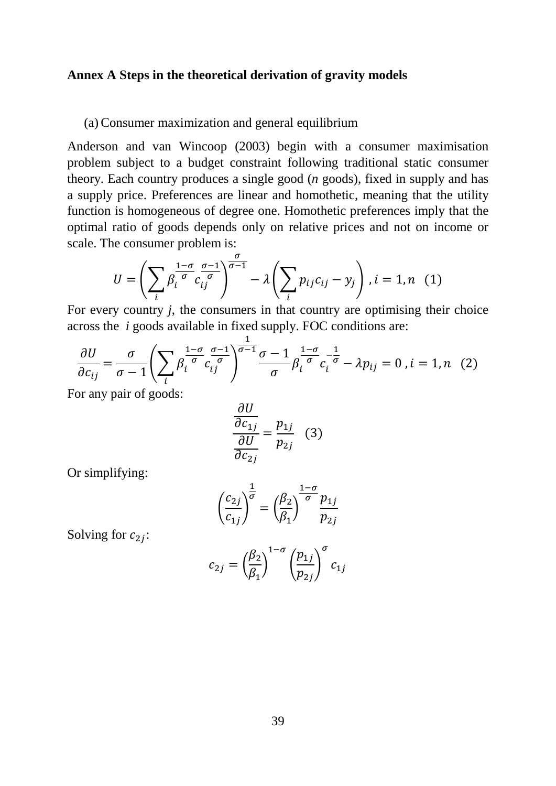#### **Annex A Steps in the theoretical derivation of gravity models**

#### (a) Consumer maximization and general equilibrium

Anderson and van Wincoop (2003) begin with a consumer maximisation problem subject to a budget constraint following traditional static consumer theory. Each country produces a single good (*n* goods), fixed in supply and has a supply price. Preferences are linear and homothetic, meaning that the utility function is homogeneous of degree one. Homothetic preferences imply that the optimal ratio of goods depends only on relative prices and not on income or scale. The consumer problem is:

$$
U = \left(\sum_{i} \beta_i^{\frac{1-\sigma}{\sigma}} c_{ij}^{\frac{\sigma-1}{\sigma}}\right)^{\frac{\sigma}{\sigma-1}} - \lambda \left(\sum_{i} p_{ij} c_{ij} - y_j\right), i = 1, n \quad (1)
$$

For every country *j*, the consumers in that country are optimising their choice across the *i* goods available in fixed supply. FOC conditions are:

$$
\frac{\partial U}{\partial c_{ij}} = \frac{\sigma}{\sigma - 1} \left( \sum_i \beta_i^{\frac{1 - \sigma}{\sigma}} c_{ij}^{\frac{\sigma - 1}{\sigma}} \right)^{\frac{1}{\sigma - 1}} \frac{\sigma - 1}{\sigma} \beta_i^{\frac{1 - \sigma}{\sigma}} c_i^{-\frac{1}{\sigma}} - \lambda p_{ij} = 0, i = 1, n \quad (2)
$$

For any pair of goods:

$$
\frac{\frac{\partial U}{\partial c_{1j}}}{\frac{\partial U}{\partial c_{2j}}} = \frac{p_{1j}}{p_{2j}} \quad (3)
$$

Or simplifying:

$$
\left(\frac{c_{2j}}{c_{1j}}\right)^{\frac{1}{\sigma}} = \left(\frac{\beta_2}{\beta_1}\right)^{\frac{1-\sigma}{\sigma}} \frac{p_{1j}}{p_{2j}}
$$

Solving for  $c_{2i}$ :

$$
c_{2j} = \left(\frac{\beta_2}{\beta_1}\right)^{1-\sigma} \left(\frac{p_{1j}}{p_{2j}}\right)^{\sigma} c_{1j}
$$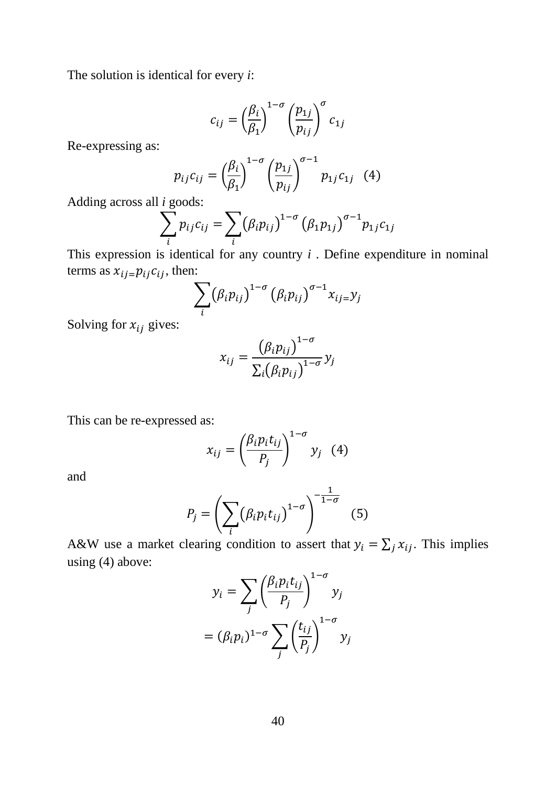The solution is identical for every  $i$ :

$$
c_{ij} = \left(\frac{\beta_i}{\beta_1}\right)^{1-\sigma} \left(\frac{p_{1j}}{p_{ij}}\right)^{\sigma} c_{1j}
$$

Re-expressing as:

$$
p_{ij}c_{ij} = \left(\frac{\beta_i}{\beta_1}\right)^{1-\sigma} \left(\frac{p_{1j}}{p_{ij}}\right)^{\sigma-1} p_{1j}c_{1j} \quad (4)
$$

Adding across all *i* goods:

$$
\sum_{i} p_{ij} c_{ij} = \sum_{i} (\beta_i p_{ij})^{1-\sigma} (\beta_1 p_{1j})^{\sigma-1} p_{1j} c_{1j}
$$

This expression is identical for any country  $i$ . Define expenditure in nominal terms as  $x_{ij} = p_{ij} c_{ij}$ , then:

$$
\sum_i (\beta_i p_{ij})^{1-\sigma} (\beta_i p_{ij})^{\sigma-1} x_{ij} = y_j
$$

Solving for  $x_{ij}$  gives:

$$
x_{ij} = \frac{\left(\beta_i p_{ij}\right)^{1-\sigma}}{\Sigma_i \left(\beta_i p_{ij}\right)^{1-\sigma}} y_j
$$

This can be re-expressed as:

$$
x_{ij} = \left(\frac{\beta_i p_i t_{ij}}{P_j}\right)^{1-\sigma} y_j \quad (4)
$$

and

$$
P_j = \left(\sum_i (\beta_i p_i t_{ij})^{1-\sigma}\right)^{-\frac{1}{1-\sigma}}
$$
(5)

A&W use a market clearing condition to assert that  $y_i = \sum_j x_{ij}$ . This implies using  $(4)$  above:

$$
y_i = \sum_j \left(\frac{\beta_i p_i t_{ij}}{P_j}\right)^{1-\sigma} y_j
$$

$$
= (\beta_i p_i)^{1-\sigma} \sum_j \left(\frac{t_{ij}}{P_j}\right)^{1-\sigma} y_j
$$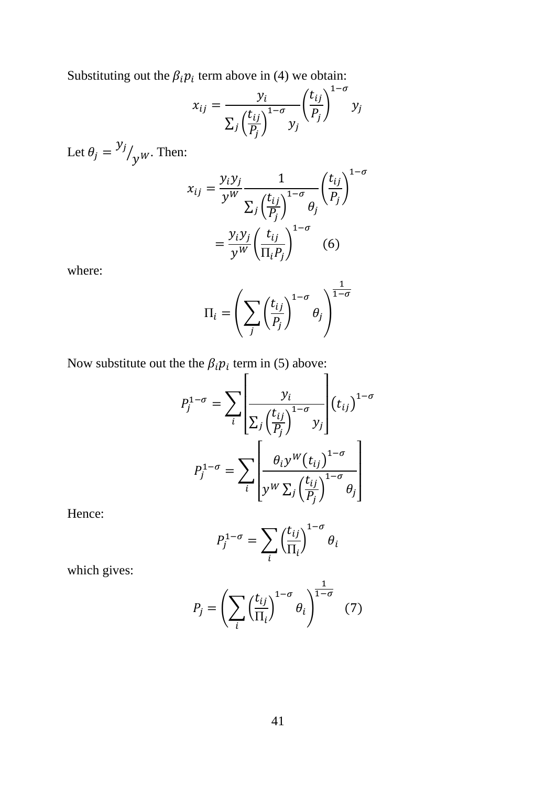Substituting out the  $\beta_i p_i$  term above in (4) we obtain:

$$
x_{ij} = \frac{y_i}{\sum_j \left(\frac{t_{ij}}{P_j}\right)^{1-\sigma}} \left(\frac{t_{ij}}{P_j}\right)^{1-\sigma} y_j
$$

Let  $\theta_j = \frac{y_j}{y_w}$ . Then:

$$
x_{ij} = \frac{y_i y_j}{y^W} \frac{1}{\sum_j \left(\frac{t_{ij}}{P_j}\right)^{1-\sigma} \theta_j} \left(\frac{t_{ij}}{P_j}\right)^{1-\sigma}
$$

$$
= \frac{y_i y_j}{y^W} \left(\frac{t_{ij}}{\Pi_i P_j}\right)^{1-\sigma} \quad (6)
$$

where:

$$
\Pi_i = \left(\sum_j \left(\frac{t_{ij}}{P_j}\right)^{1-\sigma} \theta_j\right)^{\frac{1}{1-\sigma}}
$$

Now substitute out the the  $\beta_i p_i$  term in (5) above:

$$
P_j^{1-\sigma} = \sum_{i} \left| \frac{y_i}{\sum_j \left(\frac{t_{ij}}{P_j}\right)^{1-\sigma}} y_j \right| \left(t_{ij}\right)^{1-\sigma}
$$

$$
P_j^{1-\sigma} = \sum_{i} \left[ \frac{\theta_i y^W \left(t_{ij}\right)^{1-\sigma}}{y^W \sum_j \left(\frac{t_{ij}}{P_j}\right)^{1-\sigma}} \theta_j \right]
$$

Hence:

$$
P_j^{1-\sigma} = \sum_i \left(\frac{t_{ij}}{\Pi_i}\right)^{1-\sigma} \theta_i
$$

which gives:

$$
P_j = \left(\sum_i \left(\frac{t_{ij}}{\Pi_i}\right)^{1-\sigma} \theta_i\right)^{\frac{1}{1-\sigma}}
$$
 (7)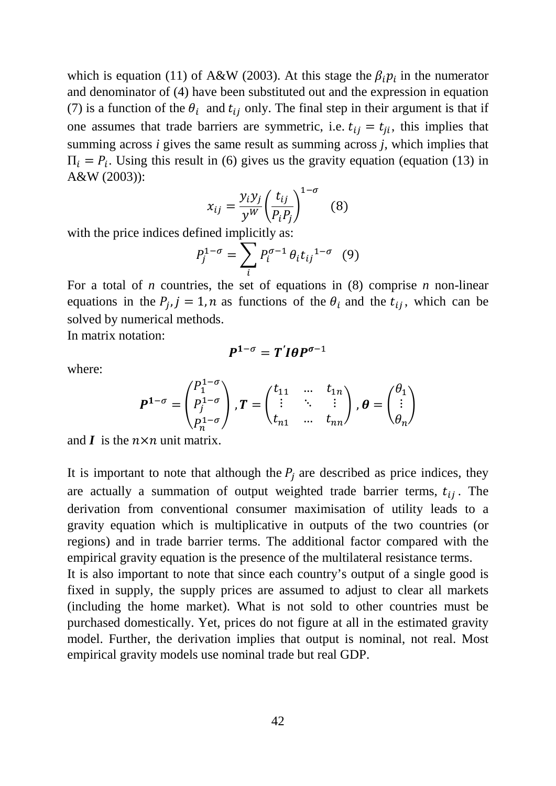which is equation (11) of A&W (2003). At this stage the  $\beta_i p_i$  in the numerator and denominator of (4) have been substituted out and the expression in equation (7) is a function of the  $\theta_i$  and  $t_{ij}$  only. The final step in their argument is that if one assumes that trade barriers are symmetric, i.e.  $t_{ii} = t_{ii}$ , this implies that summing across *i* gives the same result as summing across *j,* which implies that  $\Pi_i = P_i$ . Using this result in (6) gives us the gravity equation (equation (13) in A&W (2003)):

$$
x_{ij} = \frac{y_i y_j}{y^W} \left(\frac{t_{ij}}{P_i P_j}\right)^{1-\sigma}
$$
 (8)

with the price indices defined implicitly as:

$$
P_j^{1-\sigma} = \sum_i P_i^{\sigma-1} \theta_i t_{ij}^{1-\sigma} \quad (9)
$$

For a total of *n* countries, the set of equations in (8) comprise *n* non-linear equations in the  $P_i$ ,  $j = 1$ ,  $n$  as functions of the  $\theta_i$  and the  $t_{ij}$ , which can be solved by numerical methods.

In matrix notation:

$$
P^{1-\sigma}=T' I \theta P^{\sigma-1}
$$

where:

$$
\boldsymbol{P}^{1-\sigma} = \begin{pmatrix} P_1^{1-\sigma} \\ P_j^{1-\sigma} \\ P_n^{1-\sigma} \end{pmatrix}, \boldsymbol{T} = \begin{pmatrix} t_{11} & \dots & t_{1n} \\ \vdots & \ddots & \vdots \\ t_{n1} & \dots & t_{nn} \end{pmatrix}, \boldsymbol{\theta} = \begin{pmatrix} \theta_1 \\ \vdots \\ \theta_n \end{pmatrix}
$$

and  $\boldsymbol{I}$  is the  $n \times n$  unit matrix.

It is important to note that although the  $P_j$  are described as price indices, they are actually a summation of output weighted trade barrier terms,  $t_{ij}$ . The derivation from conventional consumer maximisation of utility leads to a gravity equation which is multiplicative in outputs of the two countries (or regions) and in trade barrier terms. The additional factor compared with the empirical gravity equation is the presence of the multilateral resistance terms.

It is also important to note that since each country's output of a single good is fixed in supply, the supply prices are assumed to adjust to clear all markets (including the home market). What is not sold to other countries must be purchased domestically. Yet, prices do not figure at all in the estimated gravity model. Further, the derivation implies that output is nominal, not real. Most empirical gravity models use nominal trade but real GDP.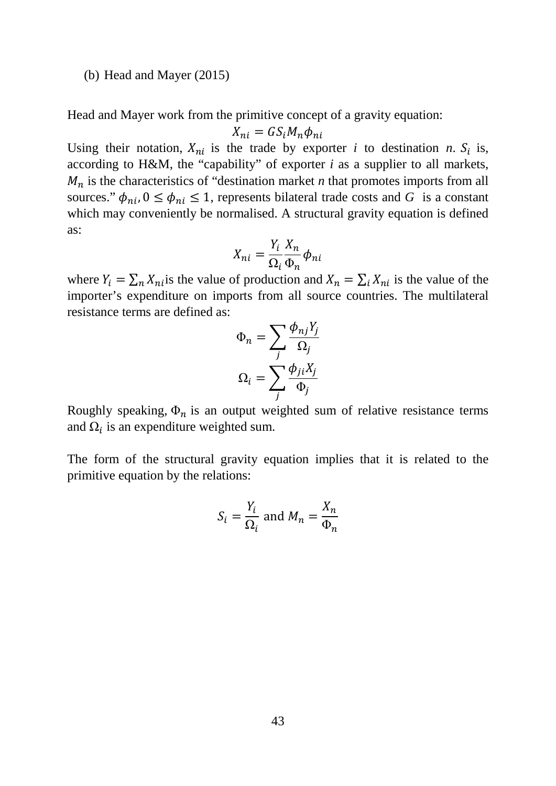#### (b) Head and Mayer (2015)

Head and Mayer work from the primitive concept of a gravity equation:

$$
X_{ni} = GS_i M_n \phi_{ni}
$$

Using their notation,  $X_{ni}$  is the trade by exporter *i* to destination *n*.  $S_i$  is, according to H&M, the "capability" of exporter *i* as a supplier to all markets,  $M_n$  is the characteristics of "destination market *n* that promotes imports from all sources."  $\phi_{ni}$ ,  $0 \le \phi_{ni} \le 1$ , represents bilateral trade costs and *G* is a constant which may conveniently be normalised. A structural gravity equation is defined as:

$$
X_{ni} = \frac{Y_i}{\Omega_i} \frac{X_n}{\Phi_n} \phi_{ni}
$$

where  $Y_i = \sum_n X_{ni}$  is the value of production and  $X_n = \sum_i X_{ni}$  is the value of the importer's expenditure on imports from all source countries. The multilateral resistance terms are defined as:

$$
\Phi_n = \sum_j \frac{\phi_{nj} Y_j}{\Omega_j}
$$

$$
\Omega_i = \sum_j \frac{\phi_{ji} X_j}{\Phi_j}
$$

Roughly speaking,  $\Phi_n$  is an output weighted sum of relative resistance terms and  $\Omega_i$  is an expenditure weighted sum.

The form of the structural gravity equation implies that it is related to the primitive equation by the relations:

$$
S_i = \frac{Y_i}{\Omega_i} \text{ and } M_n = \frac{X_n}{\Phi_n}
$$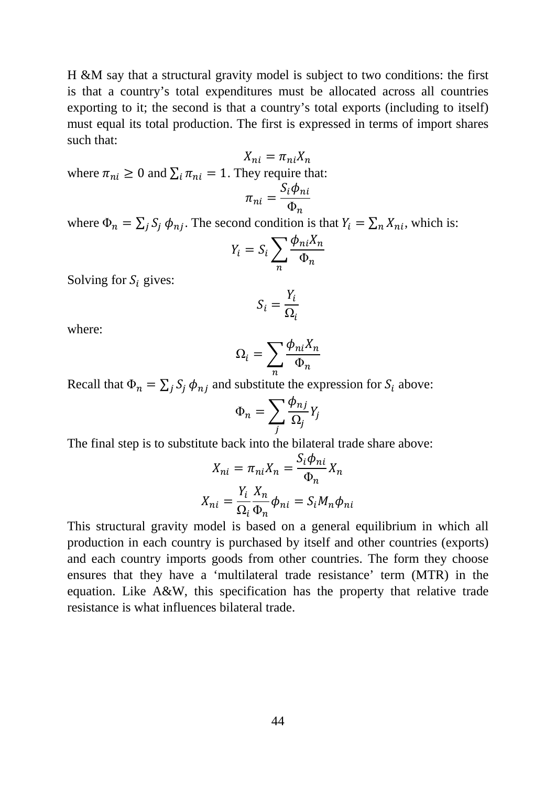H &M say that a structural gravity model is subject to two conditions: the first is that a country's total expenditures must be allocated across all countries exporting to it; the second is that a country's total exports (including to itself) must equal its total production. The first is expressed in terms of import shares such that:

 $X_{ni} = \pi_{ni} X_n$ where  $\pi_{ni} \geq 0$  and  $\sum_i \pi_{ni} = 1$ . They require that:

$$
\pi_{ni} = \frac{S_i \phi_n}{\Phi_n}
$$

where  $\Phi_n = \sum_j S_j \phi_{nj}$ . The second condition is that  $Y_i = \sum_n X_{ni}$ , which is:

$$
Y_i = S_i \sum_n \frac{\phi_{ni} X_n}{\Phi_n}
$$

Solving for  $S_i$  gives:

$$
S_i = \frac{Y_i}{\Omega_i}
$$

where:

$$
\Omega_i = \sum_n \frac{\phi_{ni} X_n}{\Phi_n}
$$

Recall that  $\Phi_n = \sum_j S_j \phi_{nj}$  and substitute the expression for  $S_i$  above:

$$
\Phi_n = \sum_j \frac{\phi_{nj}}{\Omega_j} Y_j
$$

The final step is to substitute back into the bilateral trade share above:

$$
X_{ni} = \pi_{ni} X_n = \frac{S_i \phi_{ni}}{\Phi_n} X_n
$$

$$
X_{ni} = \frac{Y_i}{\Omega_i} \frac{X_n}{\Phi_n} \phi_{ni} = S_i M_n \phi_n
$$

This structural gravity model is based on a general equilibrium in which all production in each country is purchased by itself and other countries (exports) and each country imports goods from other countries. The form they choose ensures that they have a 'multilateral trade resistance' term (MTR) in the equation. Like A&W, this specification has the property that relative trade resistance is what influences bilateral trade.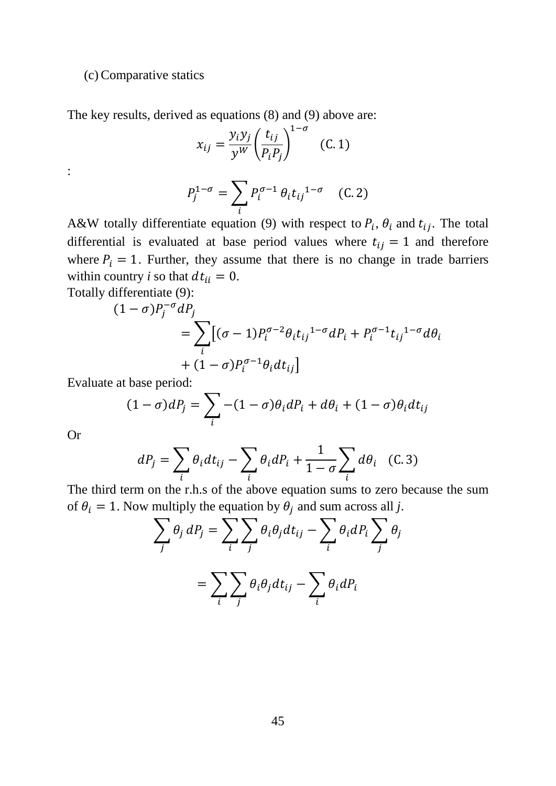#### (c) Comparative statics

The key results, derived as equations (8) and (9) above are:

$$
x_{ij} = \frac{y_i y_j}{y^W} \left(\frac{t_{ij}}{P_i P_j}\right)^{1-\sigma} \quad (C. 1)
$$

:

$$
P_j^{1-\sigma} = \sum_i P_i^{\sigma-1} \theta_i t_{ij}^{1-\sigma} \quad (C.2)
$$

A&W totally differentiate equation (9) with respect to  $P_i$ ,  $\theta_i$  and  $t_{ij}$ . The total differential is evaluated at base period values where  $t_{ij} = 1$  and therefore where  $P_i = 1$ . Further, they assume that there is no change in trade barriers within country *i* so that  $dt_{ii} = 0$ . Totally differentiate (9):

$$
(1 - \sigma)P_j^{-\sigma}dP_j
$$
  
= 
$$
\sum_i [(\sigma - 1)P_i^{\sigma - 2}\theta_i t_{ij}^{1 - \sigma} dP_i + P_i^{\sigma - 1}t_{ij}^{1 - \sigma} d\theta_i
$$
  
+ 
$$
(1 - \sigma)P_i^{\sigma - 1}\theta_i dt_{ij}]
$$

Evaluate at base period:

$$
(1 - \sigma) dP_j = \sum_i -(1 - \sigma) \theta_i dP_i + d\theta_i + (1 - \sigma) \theta_i dt_{ij}
$$

Or

$$
dP_j = \sum_i \theta_i dt_{ij} - \sum_i \theta_i dP_i + \frac{1}{1 - \sigma} \sum_i d\theta_i \quad (C. 3)
$$

The third term on the r.h.s of the above equation sums to zero because the sum of  $\theta_i = 1$ . Now multiply the equation by  $\theta_j$  and sum across all j.

$$
\sum_{j} \theta_{j} dP_{j} = \sum_{i} \sum_{j} \theta_{i} \theta_{j} dt_{ij} - \sum_{i} \theta_{i} dP_{i} \sum_{j} \theta_{j}
$$

$$
= \sum_{i} \sum_{j} \theta_{i} \theta_{j} dt_{ij} - \sum_{i} \theta_{i} dP_{i}
$$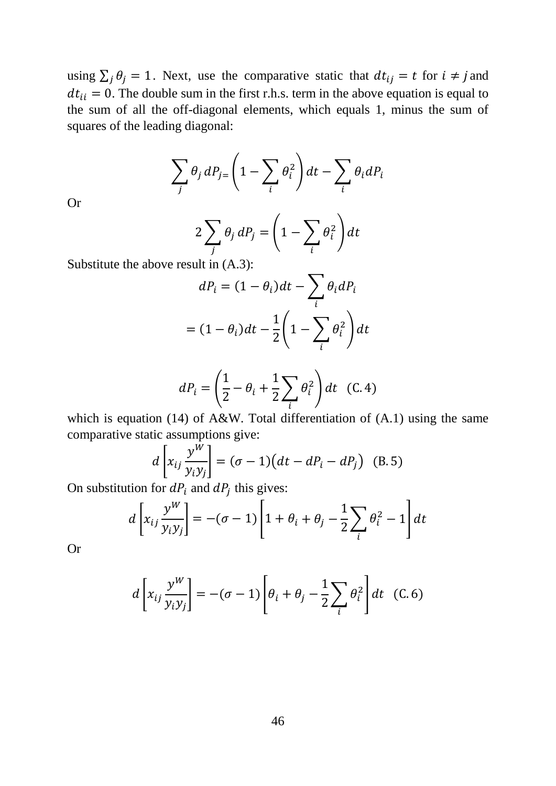using  $\sum_j \theta_j = 1$ . Next, use the comparative static that  $dt_{ij} = t$  for  $i \neq j$  and  $dt_{ii} = 0$ . The double sum in the first r.h.s. term in the above equation is equal to the sum of all the off-diagonal elements, which equals 1, minus the sum of squares of the leading diagonal:

$$
\sum_{j} \theta_{j} dP_{j} = \left(1 - \sum_{i} \theta_{i}^{2}\right) dt - \sum_{i} \theta_{i} dP_{i}
$$

Or

$$
2\sum_{j} \theta_{j} dP_{j} = \left(1 - \sum_{i} \theta_{i}^{2}\right) dt
$$

 $\overline{a}$ 

Substitute the above result in (A.3):

$$
dP_i = (1 - \theta_i)dt - \sum_i \theta_i dP_i
$$

$$
= (1 - \theta_i)dt - \frac{1}{2}\left(1 - \sum_i \theta_i^2\right)dt
$$

$$
dP_i = \left(\frac{1}{2} - \theta_i + \frac{1}{2} \sum_i \theta_i^2\right) dt \quad (C. 4)
$$

which is equation (14) of A&W. Total differentiation of  $(A.1)$  using the same comparative static assumptions give:

$$
d\left[x_{ij}\frac{y^W}{y_iy_j}\right] = (\sigma - 1)\left(dt - dP_i - dP_j\right)
$$
 (B.5)

On substitution for  $dP_i$  and  $dP_j$  this gives:

$$
d\left[x_{ij}\frac{y^{W}}{y_{i}y_{j}}\right] = -(\sigma - 1)\left[1 + \theta_{i} + \theta_{j} - \frac{1}{2}\sum_{i} \theta_{i}^{2} - 1\right]dt
$$

Or

$$
d\left[x_{ij}\frac{y^W}{y_iy_j}\right] = -(\sigma - 1)\left[\theta_i + \theta_j - \frac{1}{2}\sum_i \theta_i^2\right]dt
$$
 (C.6)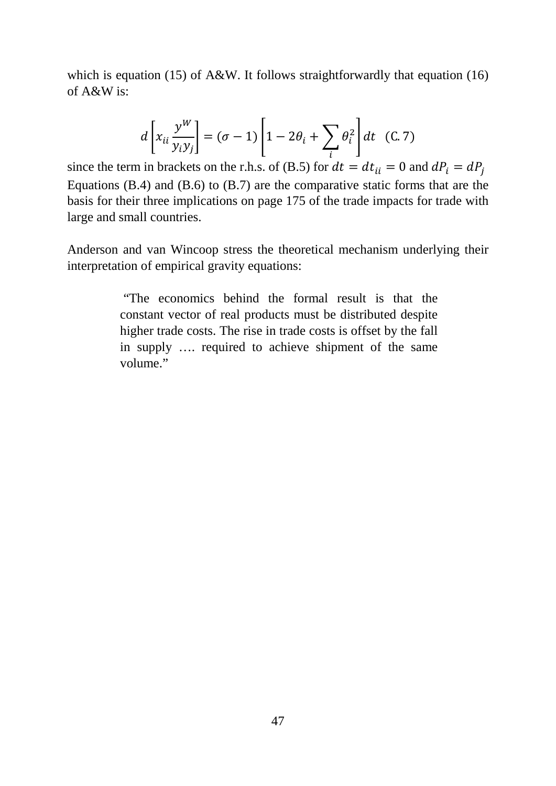which is equation (15) of A&W. It follows straightforwardly that equation (16) of A&W is:

$$
d\left[x_{ii}\frac{y^{W}}{y_{i}y_{j}}\right]=(\sigma-1)\left[1-2\theta_{i}+\sum_{i}\theta_{i}^{2}\right]dt
$$
 (C. 7)

since the term in brackets on the r.h.s. of (B.5) for  $dt = dt_{ii} = 0$  and  $dP_i = d$ Equations (B.4) and (B.6) to (B.7) are the comparative static forms that are the basis for their three implications on page 175 of the trade impacts for trade with large and small countries.

Anderson and van Wincoop stress the theoretical mechanism underlying their interpretation of empirical gravity equations:

> "The economics behind the formal result is that the constant vector of real products must be distributed despite higher trade costs. The rise in trade costs is offset by the fall in supply …. required to achieve shipment of the same volume."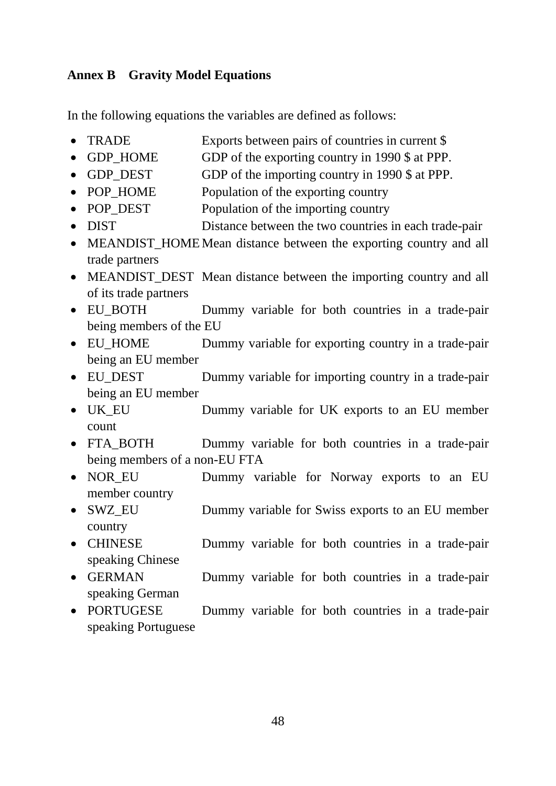## **Annex B Gravity Model Equations**

In the following equations the variables are defined as follows:

- TRADE Exports between pairs of countries in current \$
- GDP\_HOME GDP of the exporting country in 1990 \$ at PPP.
- GDP\_DEST GDP of the importing country in 1990 \$ at PPP.
- POP\_HOME Population of the exporting country
- POP DEST Population of the importing country
- DIST Distance between the two countries in each trade-pair
- MEANDIST\_HOME Mean distance between the exporting country and all trade partners
- MEANDIST DEST Mean distance between the importing country and all of its trade partners
- EU\_BOTH Dummy variable for both countries in a trade-pair being members of the EU
- EU\_HOME Dummy variable for exporting country in a trade-pair being an EU member
- EU DEST Dummy variable for importing country in a trade-pair being an EU member
- UK\_EU Dummy variable for UK exports to an EU member count
- FTA BOTH Dummy variable for both countries in a trade-pair being members of a non-EU FTA
- NOR\_EU Dummy variable for Norway exports to an EU member country
- SWZ\_EU Dummy variable for Swiss exports to an EU member country
- CHINESE Dummy variable for both countries in a trade-pair speaking Chinese
- GERMAN Dummy variable for both countries in a trade-pair speaking German
- PORTUGESE Dummy variable for both countries in a trade-pair speaking Portuguese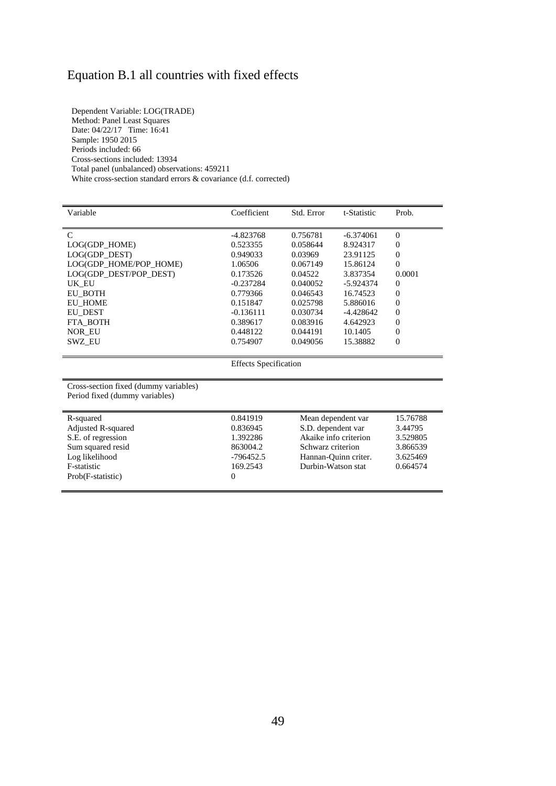# Equation B.1 all countries with fixed effects

Dependent Variable: LOG(TRADE) Method: Panel Least Squares Date: 04/22/17 Time: 16:41 Sample: 1950 2015 Periods included: 66 Cross-sections included: 13934 Total panel (unbalanced) observations: 459211 White cross-section standard errors & covariance (d.f. corrected)

Eog *memoda*<br>F-statistic<br>Prob(F-statistic)

| Variable                                                                | Coefficient                  | Std. Error         | t-Statistic           | Prob.          |
|-------------------------------------------------------------------------|------------------------------|--------------------|-----------------------|----------------|
| $\mathcal{C}$                                                           | $-4.823768$                  | 0.756781           | $-6.374061$           | $\Omega$       |
| LOG(GDP_HOME)                                                           | 0.523355                     | 0.058644           | 8.924317              | 0              |
| LOG(GDP_DEST)                                                           | 0.949033                     | 0.03969            | 23.91125              | $\theta$       |
| LOG(GDP_HOME/POP_HOME)                                                  | 1.06506                      | 0.067149           | 15.86124              | $\Omega$       |
| LOG(GDP_DEST/POP_DEST)                                                  | 0.173526                     | 0.04522            | 3.837354              | 0.0001         |
| UK EU                                                                   | $-0.237284$                  | 0.040052           | -5.924374             | 0              |
| <b>EU_BOTH</b>                                                          | 0.779366                     | 0.046543           | 16.74523              | 0              |
| <b>EU_HOME</b>                                                          | 0.151847                     | 0.025798           | 5.886016              | $\overline{0}$ |
| EU DEST                                                                 | $-0.136111$                  | 0.030734           | $-4.428642$           | $\overline{0}$ |
| FTA_BOTH                                                                | 0.389617                     | 0.083916           | 4.642923              | $\theta$       |
| <b>NOR EU</b>                                                           | 0.448122                     | 0.044191           | 10.1405               | 0              |
| SWZ_EU                                                                  | 0.754907                     | 0.049056           | 15.38882              | $\overline{0}$ |
|                                                                         | <b>Effects Specification</b> |                    |                       |                |
| Cross-section fixed (dummy variables)<br>Period fixed (dummy variables) |                              |                    |                       |                |
| R-squared                                                               | 0.841919                     |                    | Mean dependent var    | 15.76788       |
| Adjusted R-squared                                                      | 0.836945                     | S.D. dependent var |                       | 3.44795        |
| S.E. of regression                                                      | 1.392286                     |                    | Akaike info criterion | 3.529805       |
| Sum squared resid                                                       | 863004.2                     | Schwarz criterion  |                       | 3.866539       |
| Log likelihood                                                          | $-796452.5$                  |                    | Hannan-Quinn criter.  | 3.625469       |
| F-statistic                                                             | 169.2543                     | Durbin-Watson stat |                       | 0.664574       |

 $\frac{169.2543}{0}$  Durbin-Watson stat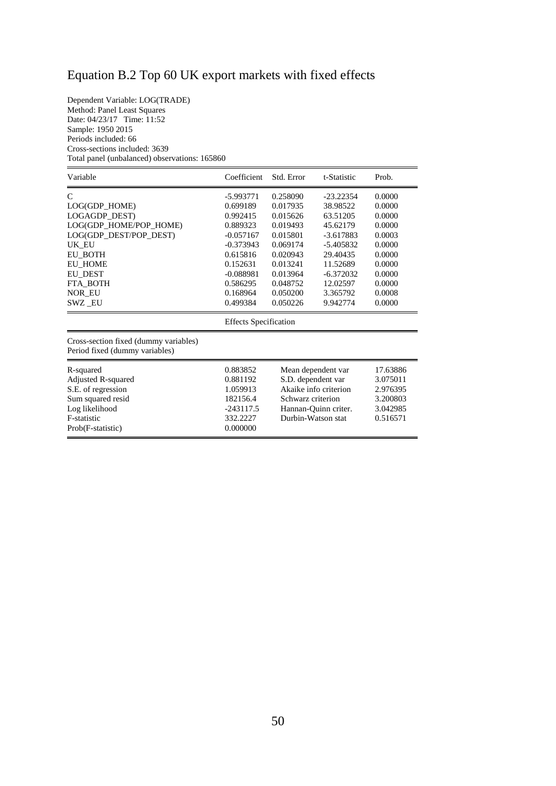# Equation B.2 Top 60 UK export markets with fixed effects

Dependent Variable: LOG(TRADE) Method: Panel Least Squares Date: 04/23/17 Time: 11:52 Sample: 1950 2015 Periods included: 66 Cross-sections included: 3639 Total panel (unbalanced) observations: 165860

| Variable                                                                | Coefficient<br>Std. Error<br>Prob.<br>t-Statistic |          |             |        |  |  |
|-------------------------------------------------------------------------|---------------------------------------------------|----------|-------------|--------|--|--|
| C                                                                       | $-5.993771$                                       | 0.258090 | $-23.22354$ | 0.0000 |  |  |
| LOG(GDP_HOME)                                                           | 0.699189                                          | 0.017935 | 38.98522    | 0.0000 |  |  |
| LOGAGDP_DEST)                                                           | 0.992415                                          | 0.015626 | 63.51205    | 0.0000 |  |  |
| LOG(GDP HOME/POP HOME)                                                  | 0.889323                                          | 0.019493 | 45.62179    | 0.0000 |  |  |
| LOG(GDP DEST/POP DEST)                                                  | $-0.057167$                                       | 0.015801 | $-3.617883$ | 0.0003 |  |  |
| UK_EU                                                                   | $-0.373943$                                       | 0.069174 | $-5.405832$ | 0.0000 |  |  |
| <b>EU_BOTH</b>                                                          | 0.615816                                          | 0.020943 | 29.40435    | 0.0000 |  |  |
| <b>EU HOME</b>                                                          | 0.152631                                          | 0.013241 | 11.52689    | 0.0000 |  |  |
| <b>EU DEST</b>                                                          | $-0.088981$                                       | 0.013964 | $-6.372032$ | 0.0000 |  |  |
| FTA BOTH                                                                | 0.586295                                          | 0.048752 | 12.02597    | 0.0000 |  |  |
| NOR EU                                                                  | 0.168964                                          | 0.050200 | 3.365792    | 0.0008 |  |  |
| SWZ EU                                                                  | 0.499384                                          | 0.050226 | 9.942774    | 0.0000 |  |  |
|                                                                         | <b>Effects</b> Specification                      |          |             |        |  |  |
| Cross-section fixed (dummy variables)<br>Period fixed (dummy variables) |                                                   |          |             |        |  |  |

| R-squared                 | 0.883852    | Mean dependent var    | 17.63886 |
|---------------------------|-------------|-----------------------|----------|
| <b>Adjusted R-squared</b> | 0.881192    | S.D. dependent var    | 3.075011 |
| S.E. of regression        | 1.059913    | Akaike info criterion | 2.976395 |
| Sum squared resid         | 182156.4    | Schwarz criterion     | 3.200803 |
| Log likelihood            | $-243117.5$ | Hannan-Ouinn criter.  | 3.042985 |
| F-statistic               | 332.2227    | Durbin-Watson stat    | 0.516571 |
| Prob(F-statistic)         | 0.000000    |                       |          |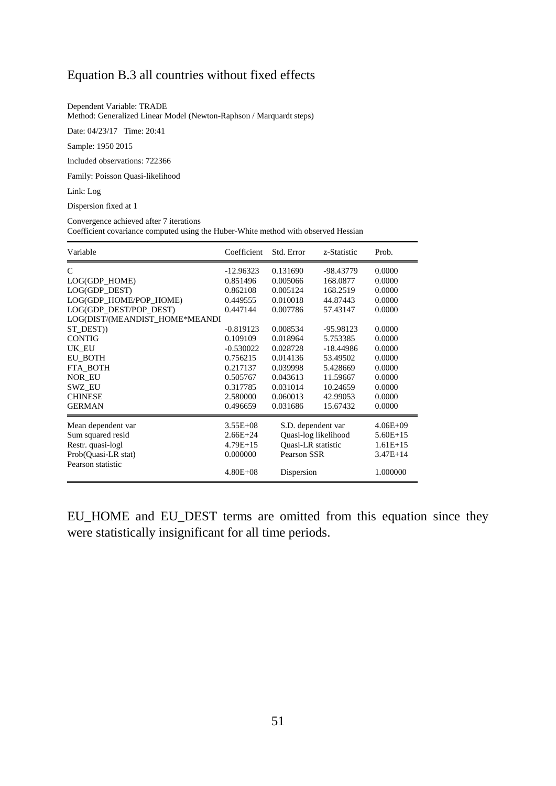#### Equation B.3 all countries without fixed effects

Dependent Variable: TRADE

Method: Generalized Linear Model (Newton-Raphson / Marquardt steps)

Date: 04/23/17 Time: 20:41

Sample: 1950 2015

Included observations: 722366

Family: Poisson Quasi-likelihood

Link: Log

Dispersion fixed at 1

Convergence achieved after 7 iterations Coefficient covariance computed using the Huber-White method with observed Hessian

| Variable                       | Coefficient  | Std. Error           | z-Statistic | Prob.        |
|--------------------------------|--------------|----------------------|-------------|--------------|
| C                              | $-12.96323$  | 0.131690             | -98.43779   | 0.0000       |
| LOG(GDP_HOME)                  | 0.851496     | 0.005066             | 168.0877    | 0.0000       |
| LOG(GDP DEST)                  | 0.862108     | 0.005124             | 168.2519    | 0.0000       |
| LOG(GDP HOME/POP HOME)         | 0.449555     | 0.010018             | 44.87443    | 0.0000       |
| LOG(GDP DEST/POP DEST)         | 0.447144     | 0.007786             | 57.43147    | 0.0000       |
| LOG(DIST/(MEANDIST_HOME*MEANDI |              |                      |             |              |
| ST DEST)                       | $-0.819123$  | 0.008534             | -95.98123   | 0.0000       |
| <b>CONTIG</b>                  | 0.109109     | 0.018964             | 5.753385    | 0.0000       |
| UK EU                          | $-0.530022$  | 0.028728             | $-18.44986$ | 0.0000       |
| EU BOTH                        | 0.756215     | 0.014136             | 53.49502    | 0.0000       |
| FTA BOTH                       | 0.217137     | 0.039998             | 5.428669    | 0.0000       |
| <b>NOR EU</b>                  | 0.505767     | 0.043613             | 11.59667    | 0.0000       |
| <b>SWZ EU</b>                  | 0.317785     | 0.031014             | 10.24659    | 0.0000       |
| <b>CHINESE</b>                 | 2.580000     | 0.060013             | 42.99053    | 0.0000       |
| <b>GERMAN</b>                  | 0.496659     | 0.031686             | 15.67432    | 0.0000       |
| Mean dependent var             | $3.55E + 08$ | S.D. dependent var   |             | $4.06E + 09$ |
| Sum squared resid              | $2.66E + 24$ | Quasi-log likelihood |             | $5.60E+15$   |
| Restr. quasi-logl              | $4.79E+15$   | Quasi-LR statistic   |             | $1.61E+15$   |
| Prob(Quasi-LR stat)            | 0.000000     | Pearson SSR          |             | $3.47E + 14$ |
| Pearson statistic              |              |                      |             |              |
|                                | $4.80E + 08$ | Dispersion           |             | 1.000000     |

EU\_HOME and EU\_DEST terms are omitted from this equation since they were statistically insignificant for all time periods.